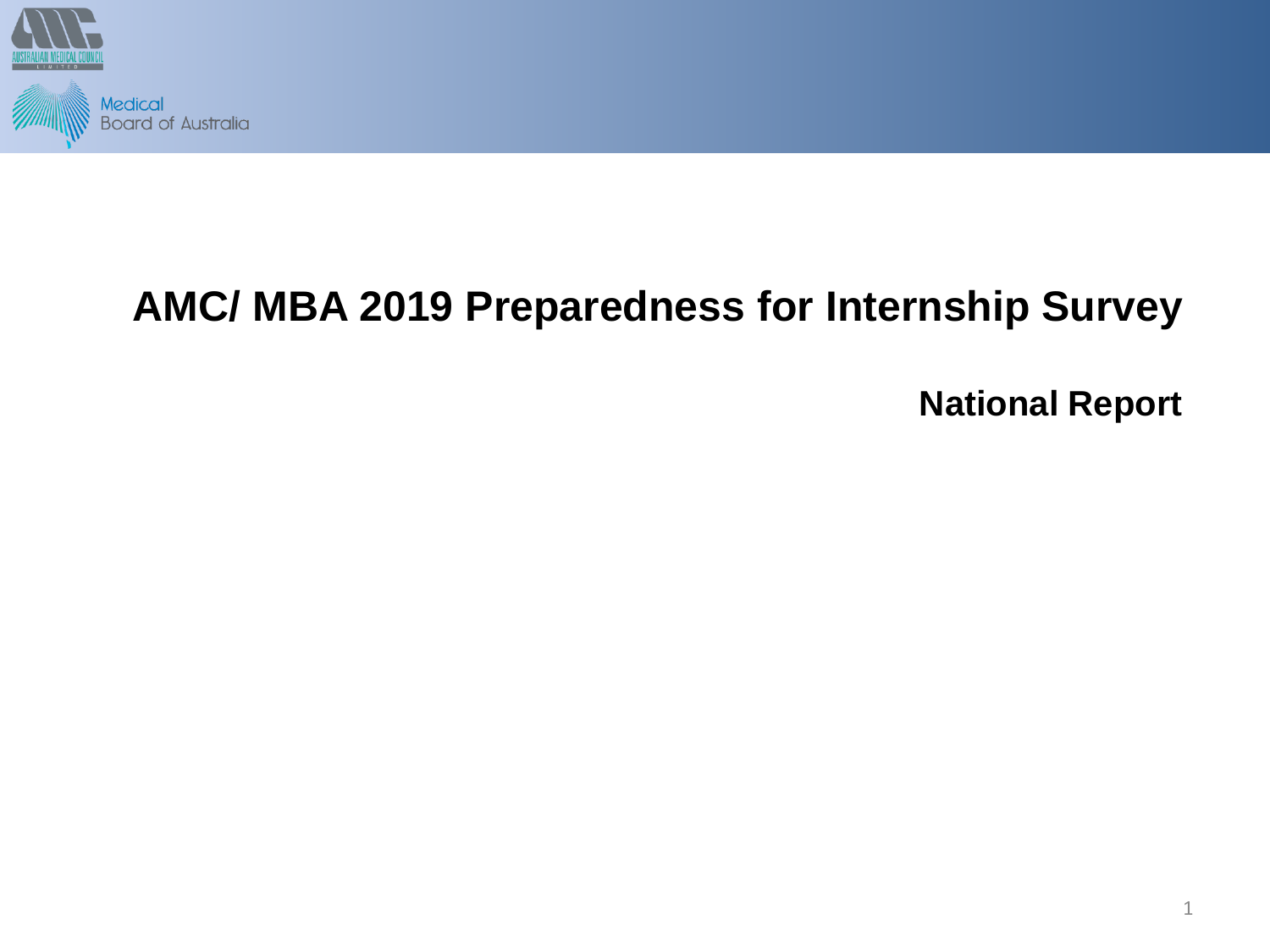

# **AMC/ MBA 2019 Preparedness for Internship Survey**

**National Report**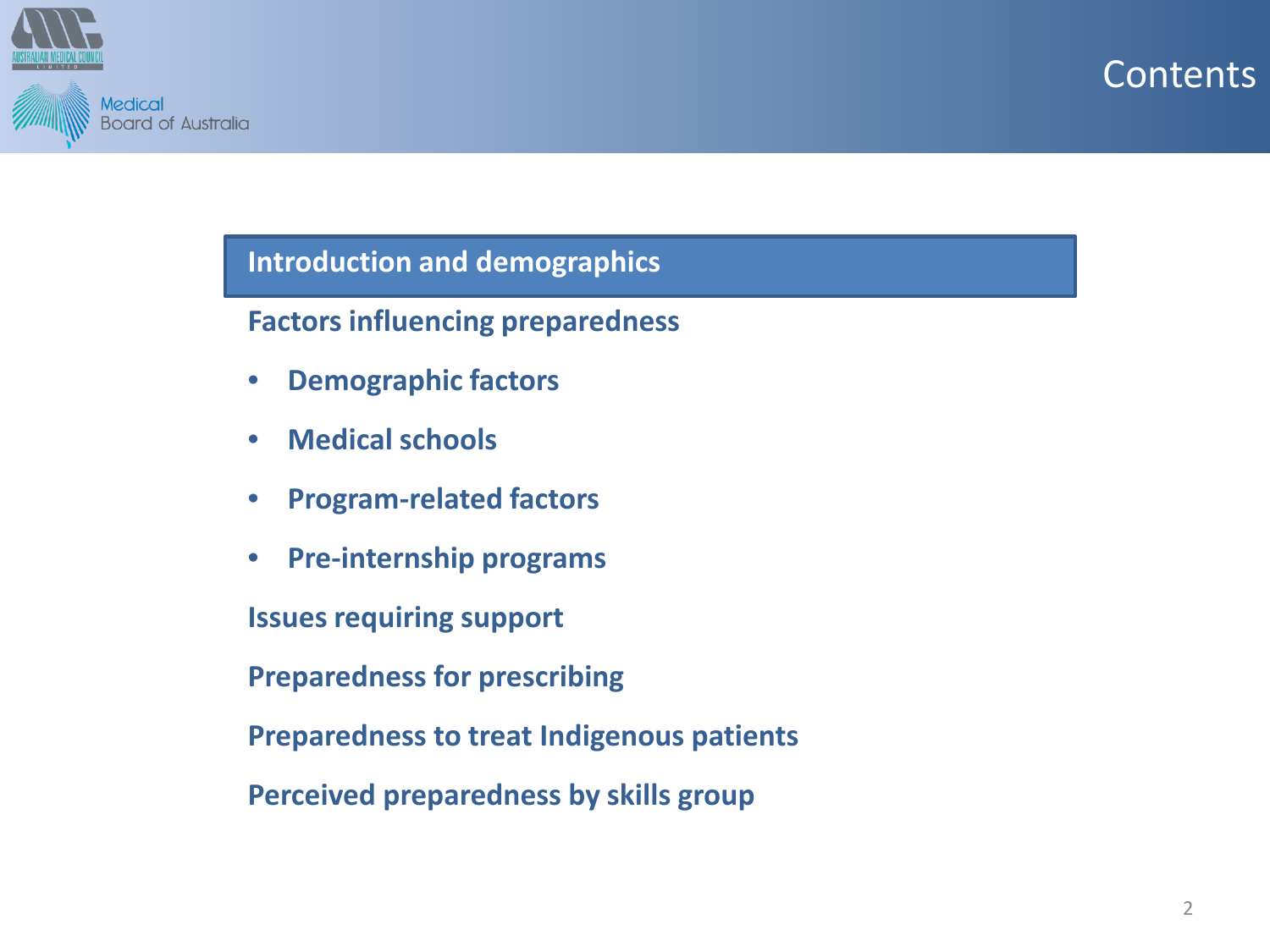



**Introduction and demographics**

**Factors influencing preparedness**

- **Demographic factors**
- **Medical schools**
- **Program-related factors**
- **Pre-internship programs**

**Issues requiring support**

**Preparedness for prescribing**

**Preparedness to treat Indigenous patients**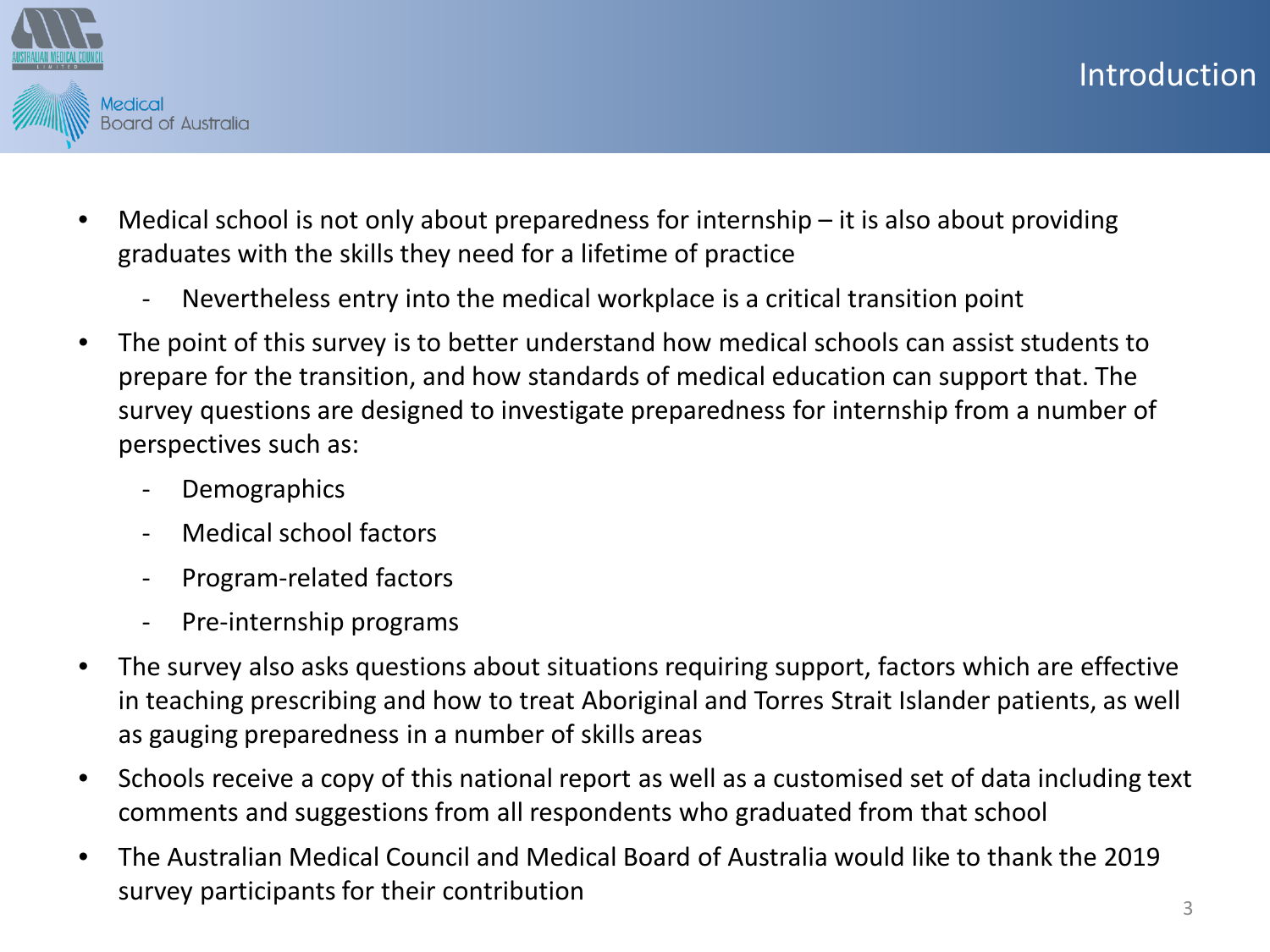

- Medical school is not only about preparedness for internship  $-$  it is also about providing graduates with the skills they need for a lifetime of practice
	- Nevertheless entry into the medical workplace is a critical transition point
- The point of this survey is to better understand how medical schools can assist students to prepare for the transition, and how standards of medical education can support that. The survey questions are designed to investigate preparedness for internship from a number of perspectives such as:
	- **Demographics**
	- Medical school factors
	- Program-related factors
	- Pre-internship programs
- The survey also asks questions about situations requiring support, factors which are effective in teaching prescribing and how to treat Aboriginal and Torres Strait Islander patients, as well as gauging preparedness in a number of skills areas
- Schools receive a copy of this national report as well as a customised set of data including text comments and suggestions from all respondents who graduated from that school
- The Australian Medical Council and Medical Board of Australia would like to thank the 2019 survey participants for their contribution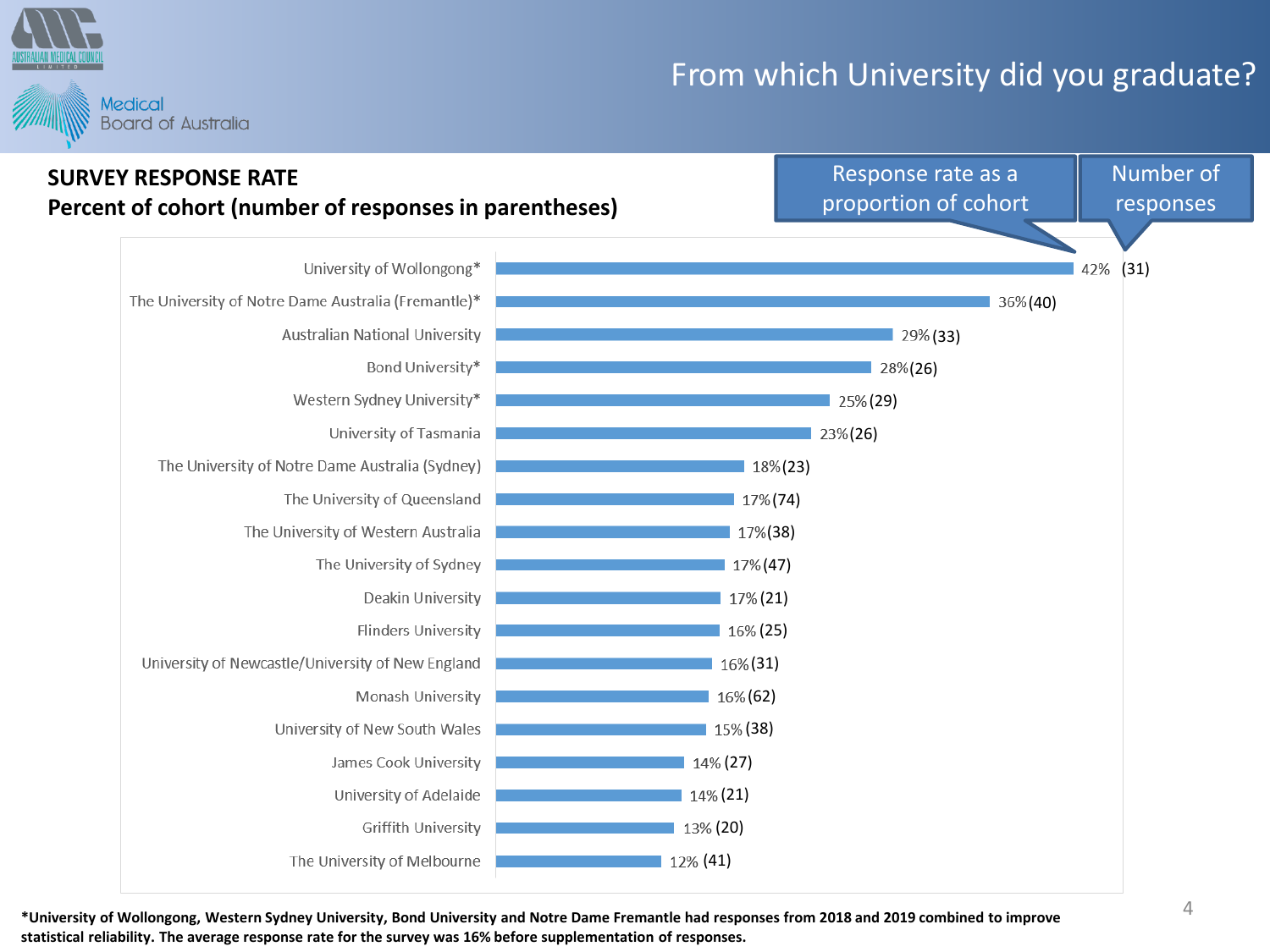# From which University did you graduate?



#### Number of Response rate as a **SURVEY RESPONSE RATE** proportion of cohort responses **Percent of cohort (number of responses in parentheses)**  University of Wollongong\* (31) The University of Notre Dame Australia (Fremantle)\* (40) Australian National University (33) (26) Bond University\* Western Sydney University\* (29) University of Tasmania (26) The University of Notre Dame Australia (Sydney)  $18\%$ (23) The University of Queensland (74) The University of Western Australia (38) (47) The University of Sydney Deakin University (21) Flinders University (25) University of Newcastle/University of New England (31) Monash University (62) (38) University of New South Wales James Cook University (27) University of Adelaide (21) Griffith University (20) The University of Melbourne (41)

**\*University of Wollongong, Western Sydney University, Bond University and Notre Dame Fremantle had responses from 2018 and 2019 combined to improve statistical reliability. The average response rate for the survey was 16% before supplementation of responses.**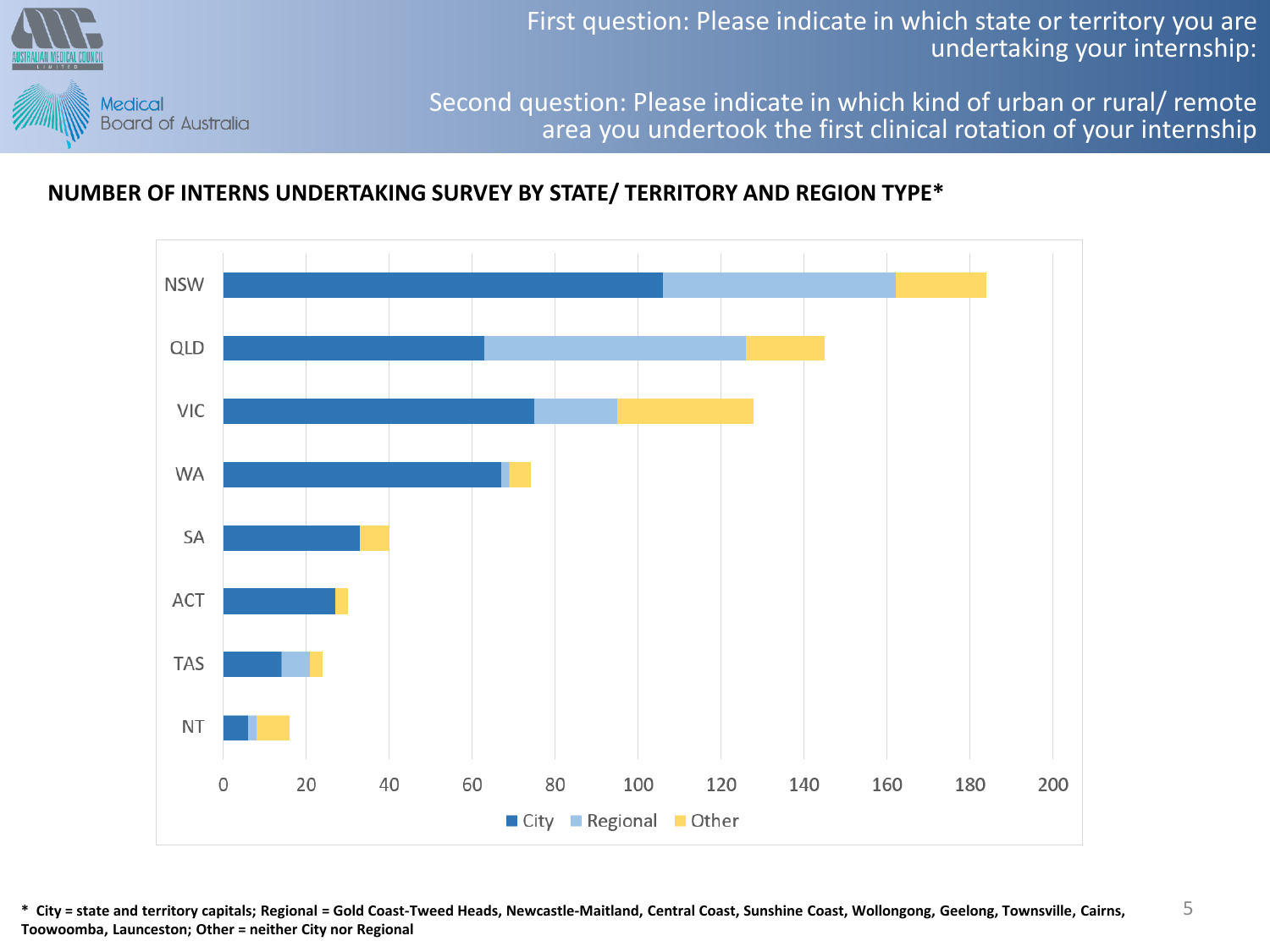

First question: Please indicate in which state or territory you are undertaking your internship:

Second question: Please indicate in which kind of urban or rural/ remote area you undertook the first clinical rotation of your internship

### **NUMBER OF INTERNS UNDERTAKING SURVEY BY STATE/ TERRITORY AND REGION TYPE\***



**\* City = state and territory capitals; Regional = Gold Coast-Tweed Heads, Newcastle-Maitland, Central Coast, Sunshine Coast, Wollongong, Geelong, Townsville, Cairns, Toowoomba, Launceston; Other = neither City nor Regional** 5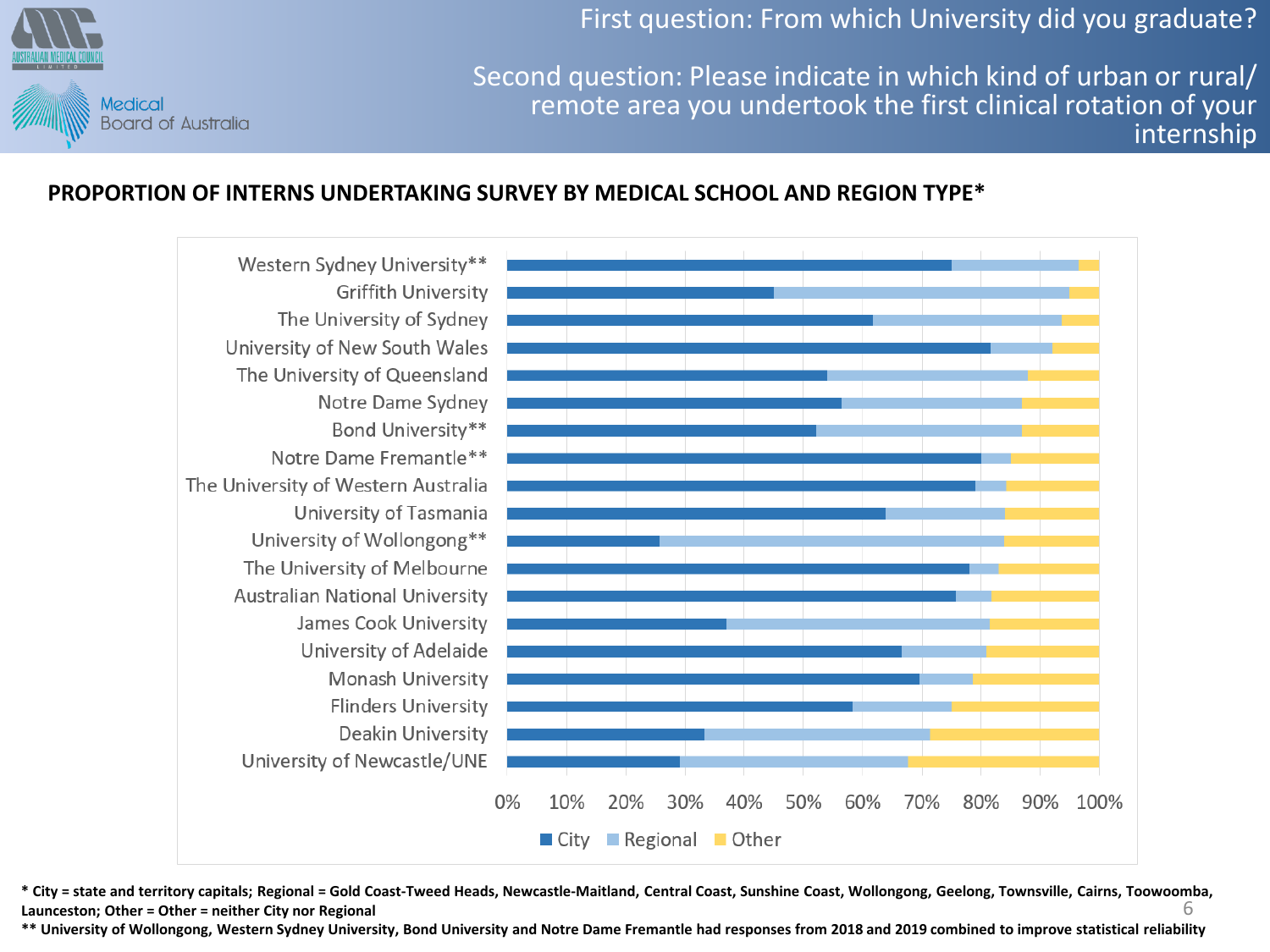First question: From which University did you graduate?

Second question: Please indicate in which kind of urban or rural/ remote area you undertook the first clinical rotation of your internship

![](_page_5_Picture_2.jpeg)

#### **PROPORTION OF INTERNS UNDERTAKING SURVEY BY MEDICAL SCHOOL AND REGION TYPE\***

![](_page_5_Figure_4.jpeg)

**\* City = state and territory capitals; Regional = Gold Coast-Tweed Heads, Newcastle-Maitland, Central Coast, Sunshine Coast, Wollongong, Geelong, Townsville, Cairns, Toowoomba, Launceston; Other = Other = neither City nor Regional** 6

**\*\* University of Wollongong, Western Sydney University, Bond University and Notre Dame Fremantle had responses from 2018 and 2019 combined to improve statistical reliability**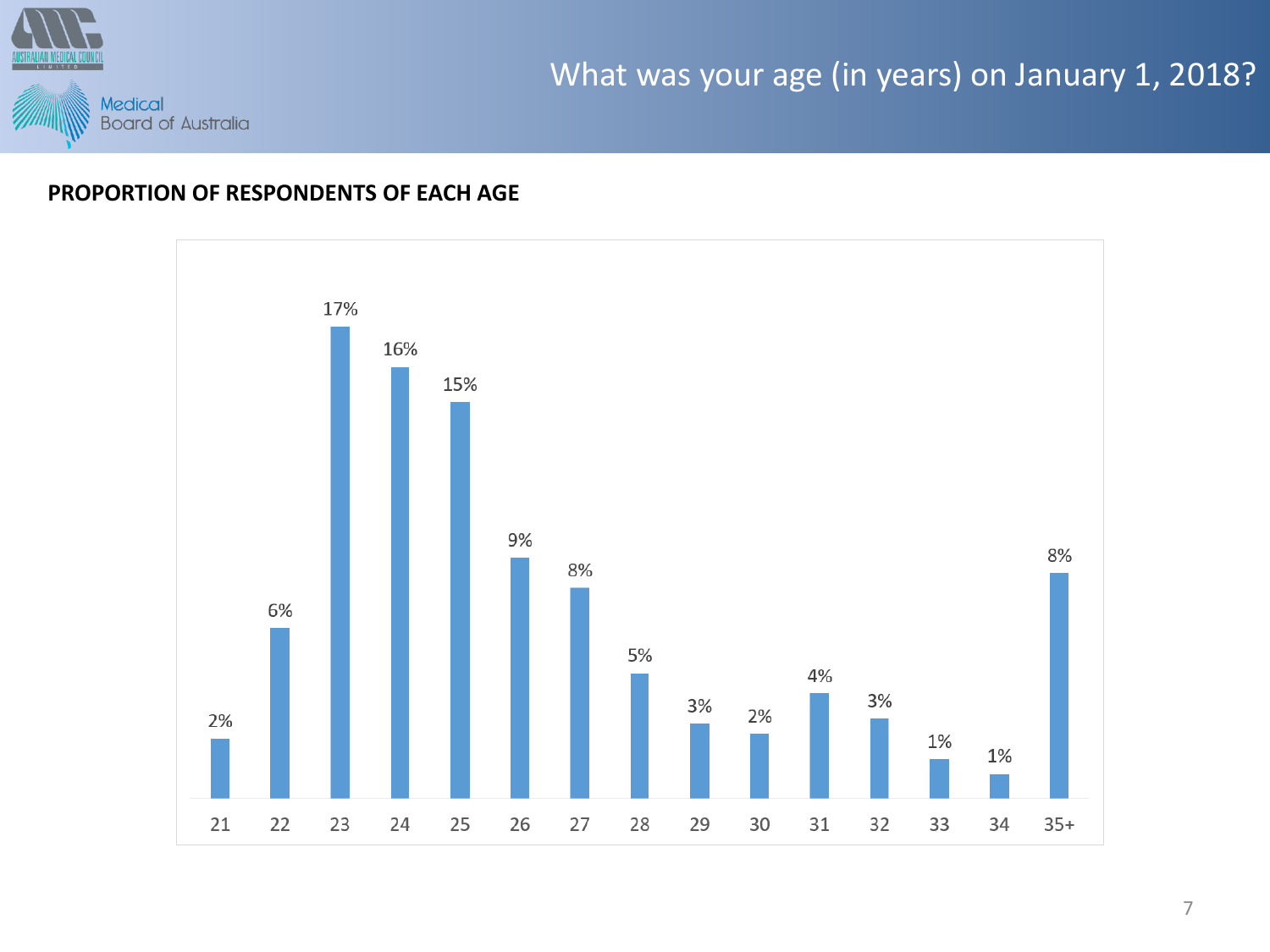![](_page_6_Picture_0.jpeg)

# What was your age (in years) on January 1, 2018?

#### **PROPORTION OF RESPONDENTS OF EACH AGE**

![](_page_6_Figure_3.jpeg)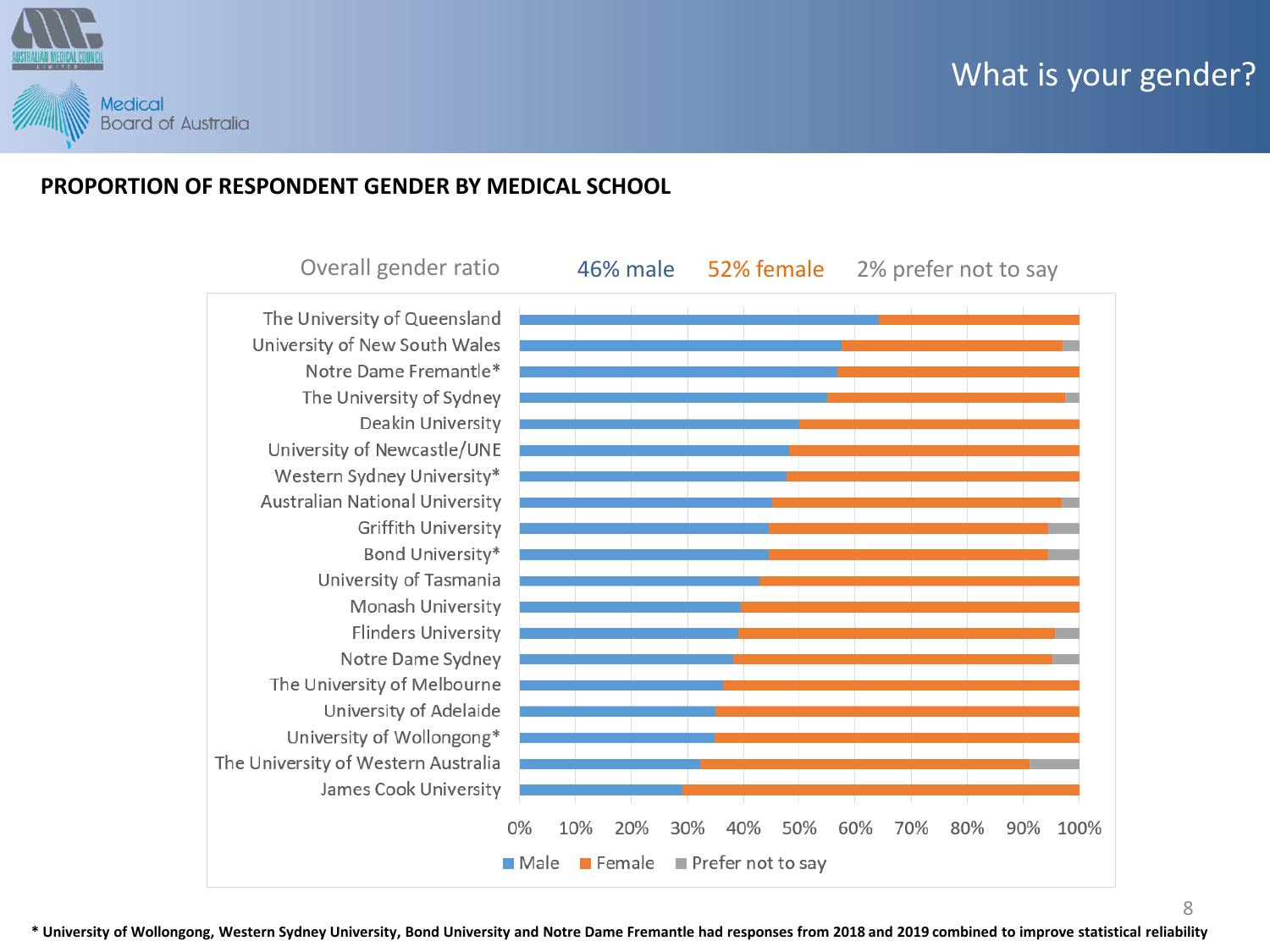![](_page_7_Picture_0.jpeg)

# What is your gender?

#### **PROPORTION OF RESPONDENT GENDER BY MEDICAL SCHOOL**

![](_page_7_Figure_3.jpeg)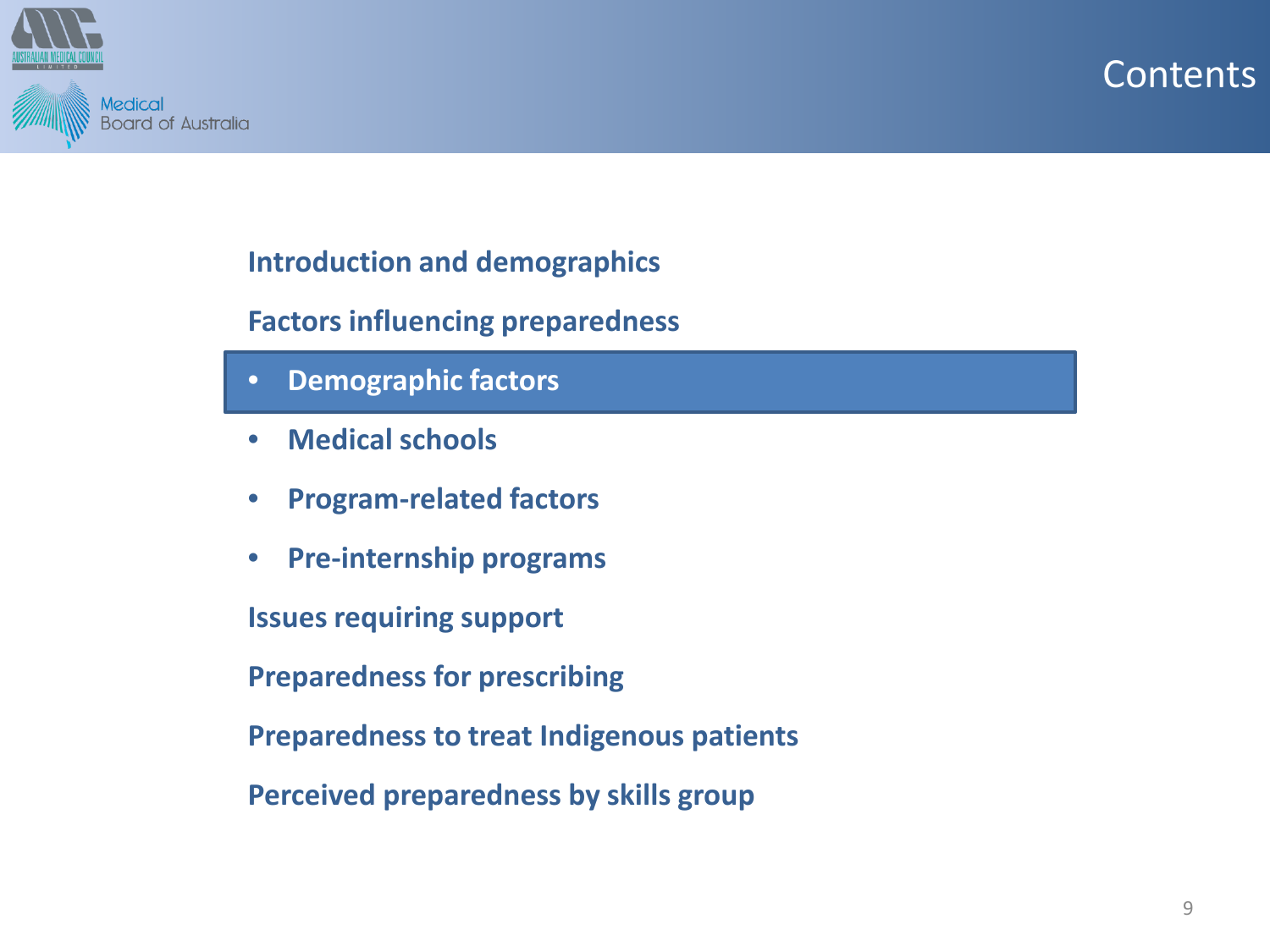![](_page_8_Picture_0.jpeg)

![](_page_8_Picture_1.jpeg)

# **Introduction and demographics**

**Factors influencing preparedness**

- **Demographic factors**
- **Medical schools**
- **Program-related factors**
- **Pre-internship programs**

**Issues requiring support**

**Preparedness for prescribing**

**Preparedness to treat Indigenous patients**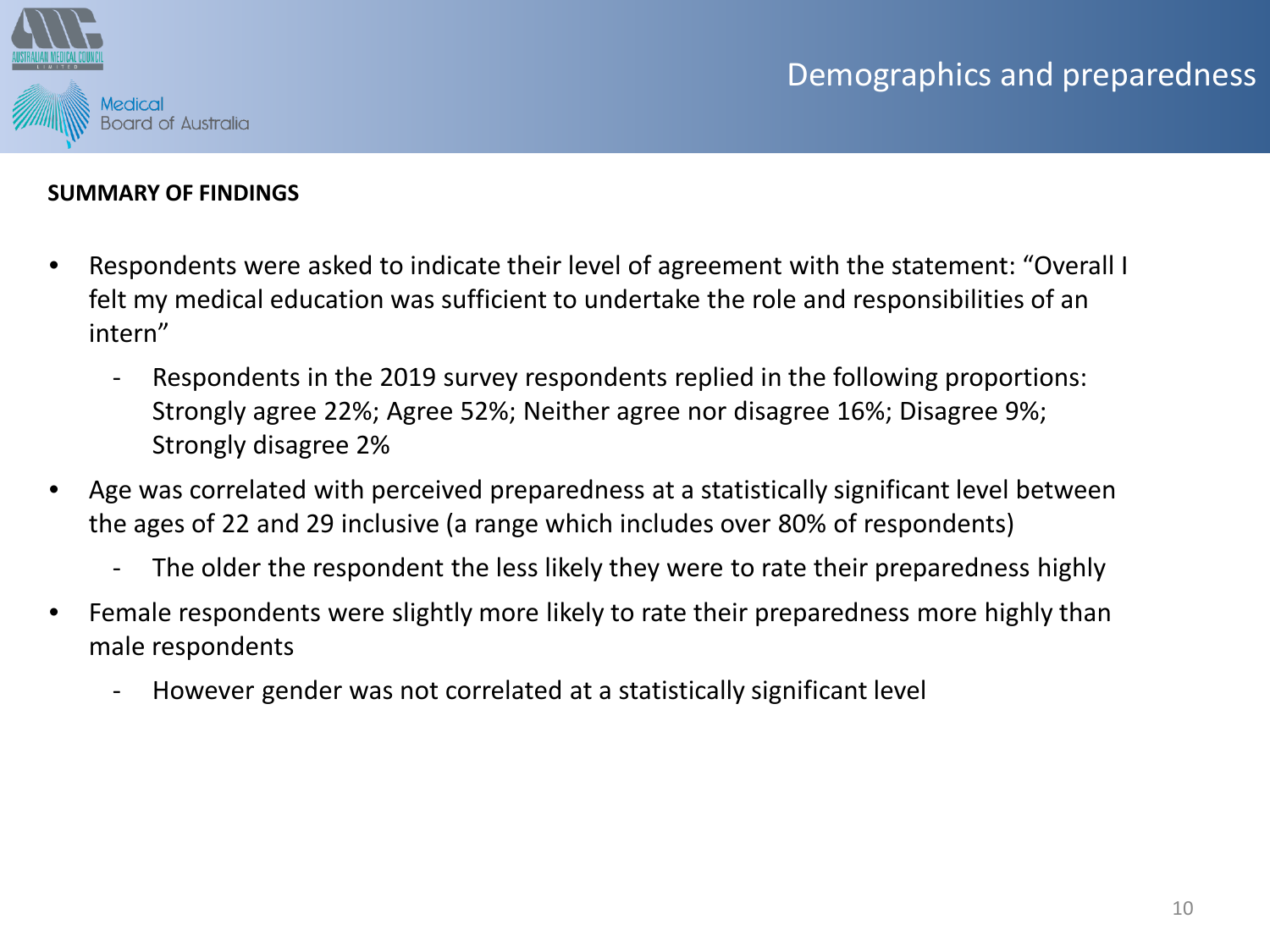![](_page_9_Picture_1.jpeg)

#### **SUMMARY OF FINDINGS**

- Respondents were asked to indicate their level of agreement with the statement: "Overall I felt my medical education was sufficient to undertake the role and responsibilities of an intern"
	- Respondents in the 2019 survey respondents replied in the following proportions: Strongly agree 22%; Agree 52%; Neither agree nor disagree 16%; Disagree 9%; Strongly disagree 2%
- Age was correlated with perceived preparedness at a statistically significant level between the ages of 22 and 29 inclusive (a range which includes over 80% of respondents)
	- The older the respondent the less likely they were to rate their preparedness highly
- Female respondents were slightly more likely to rate their preparedness more highly than male respondents
	- However gender was not correlated at a statistically significant level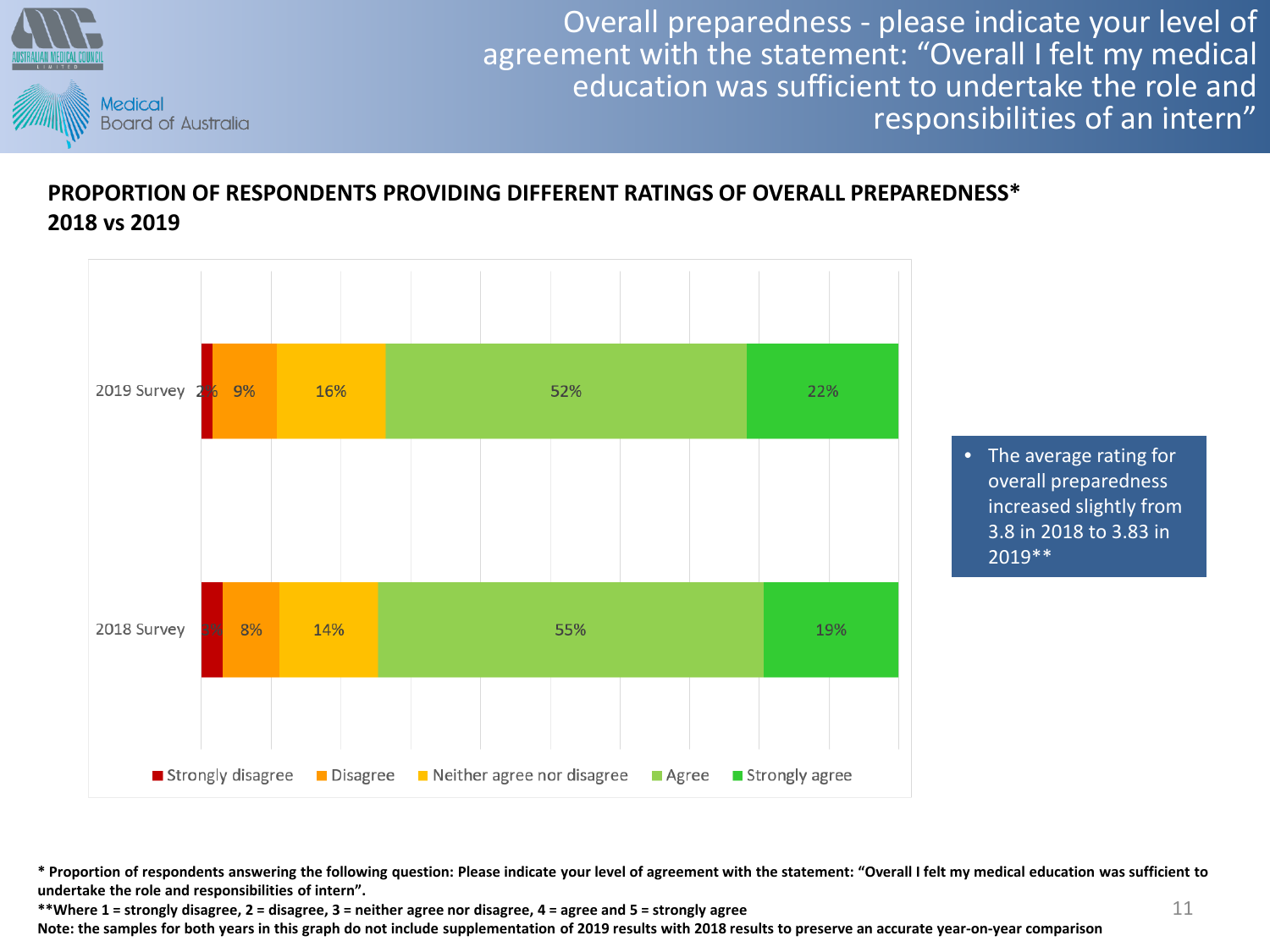![](_page_10_Picture_0.jpeg)

Overall preparedness - please indicate your level of agreement with the statement: "Overall I felt my medical education was sufficient to undertake the role and responsibilities of an intern"

# **PROPORTION OF RESPONDENTS PROVIDING DIFFERENT RATINGS OF OVERALL PREPAREDNESS\* 2018 vs 2019**

![](_page_10_Figure_3.jpeg)

**\* Proportion of respondents answering the following question: Please indicate your level of agreement with the statement: "Overall I felt my medical education was sufficient to undertake the role and responsibilities of intern".** 

**\*\*Where 1 = strongly disagree, 2 = disagree, 3 = neither agree nor disagree, 4 = agree and 5 = strongly agree Note: the samples for both years in this graph do not include supplementation of 2019 results with 2018 results to preserve an accurate year-on-year comparison**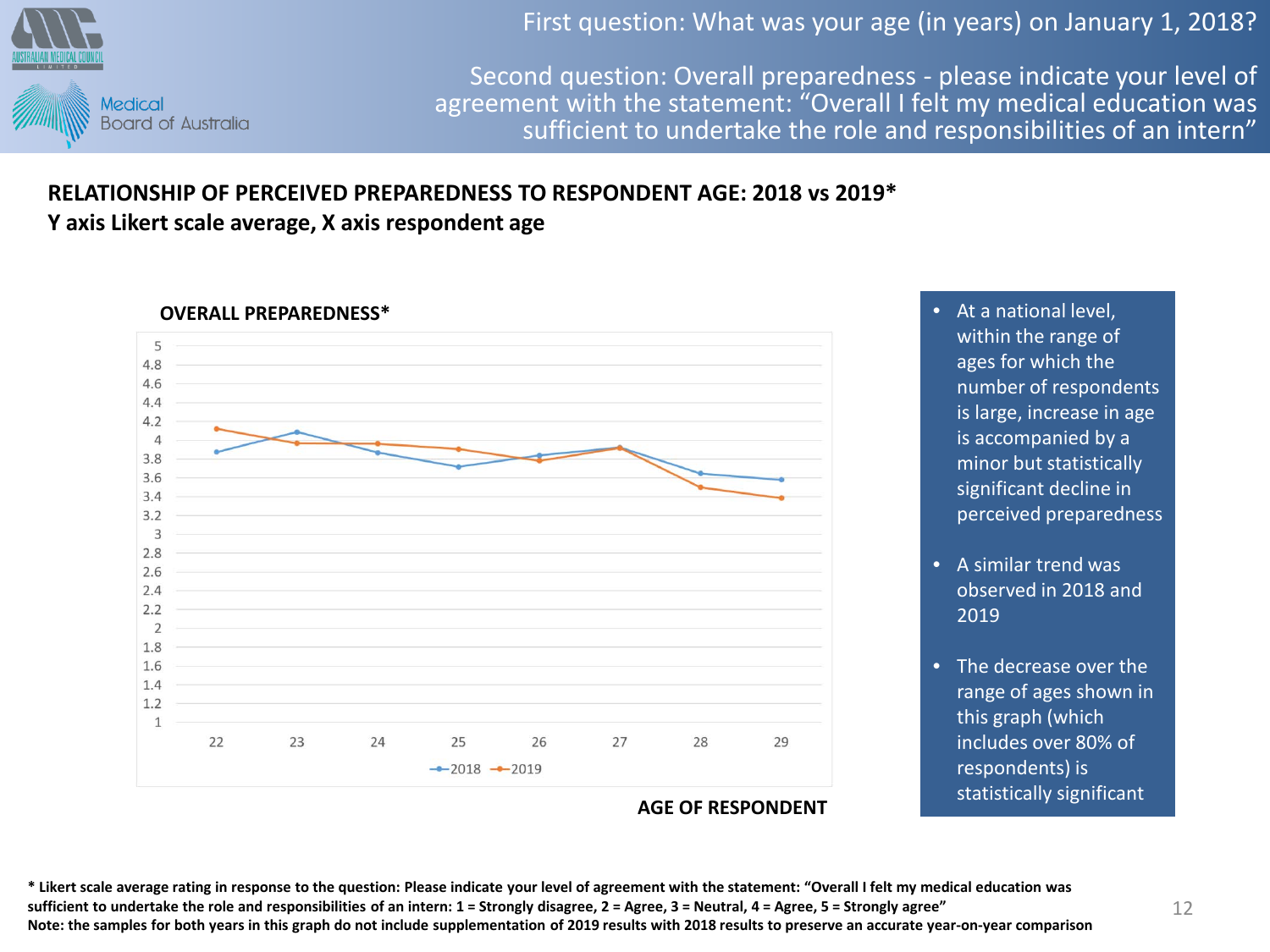![](_page_11_Picture_0.jpeg)

First question: What was your age (in years) on January 1, 2018?

Second question: Overall preparedness - please indicate your level of agreement with the statement: "Overall I felt my medical education was sufficient to undertake the role and responsibilities of an intern"

# **RELATIONSHIP OF PERCEIVED PREPAREDNESS TO RESPONDENT AGE: 2018 vs 2019\* Y axis Likert scale average, X axis respondent age**

![](_page_11_Figure_4.jpeg)

**OVERALL PREPAREDNESS\***

**AGE OF RESPONDENT**

• At a national level, within the range of ages for which the number of respondents is large, increase in age is accompanied by a minor but statistically significant decline in perceived preparedness

- A similar trend was observed in 2018 and 2019
- The decrease over the range of ages shown in this graph (which includes over 80% of respondents) is statistically significant

**\* Likert scale average rating in response to the question: Please indicate your level of agreement with the statement: "Overall I felt my medical education was sufficient to undertake the role and responsibilities of an intern: 1 = Strongly disagree, 2 = Agree, 3 = Neutral, 4 = Agree, 5 = Strongly agree" Note: the samples for both years in this graph do not include supplementation of 2019 results with 2018 results to preserve an accurate year-on-year comparison**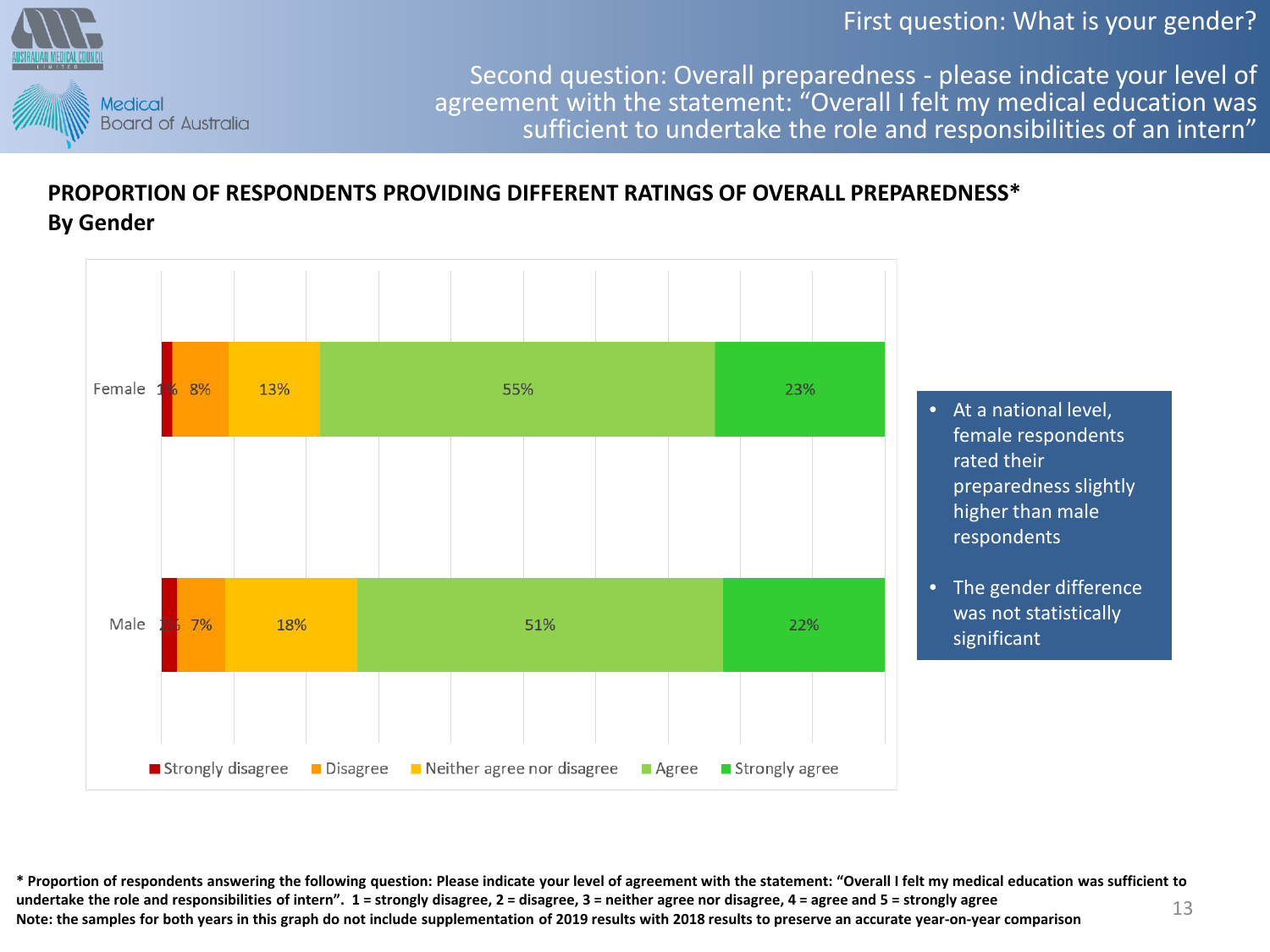First question: What is your gender?

![](_page_12_Picture_1.jpeg)

Second question: Overall preparedness - please indicate your level of agreement with the statement: "Overall I felt my medical education was sufficient to undertake the role and responsibilities of an intern"

# **PROPORTION OF RESPONDENTS PROVIDING DIFFERENT RATINGS OF OVERALL PREPAREDNESS\* By Gender**

![](_page_12_Figure_4.jpeg)

13 **\* Proportion of respondents answering the following question: Please indicate your level of agreement with the statement: "Overall I felt my medical education was sufficient to undertake the role and responsibilities of intern". 1 = strongly disagree, 2 = disagree, 3 = neither agree nor disagree, 4 = agree and 5 = strongly agree Note: the samples for both years in this graph do not include supplementation of 2019 results with 2018 results to preserve an accurate year-on-year comparison**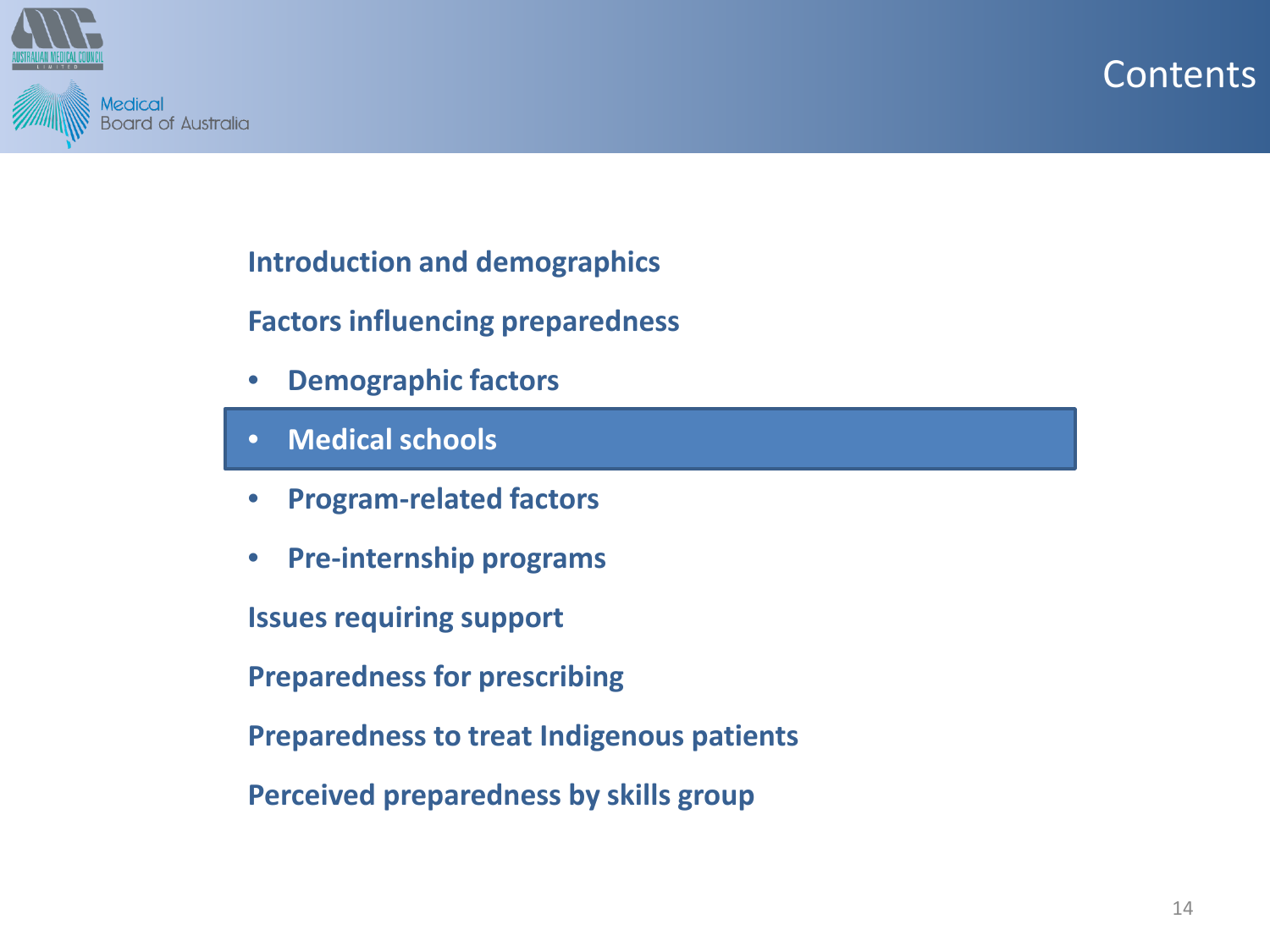![](_page_13_Picture_0.jpeg)

![](_page_13_Picture_1.jpeg)

**Introduction and demographics**

**Factors influencing preparedness**

- **Demographic factors**
- **Medical schools**
- **Program-related factors**
- **Pre-internship programs**

**Issues requiring support**

**Preparedness for prescribing**

**Preparedness to treat Indigenous patients**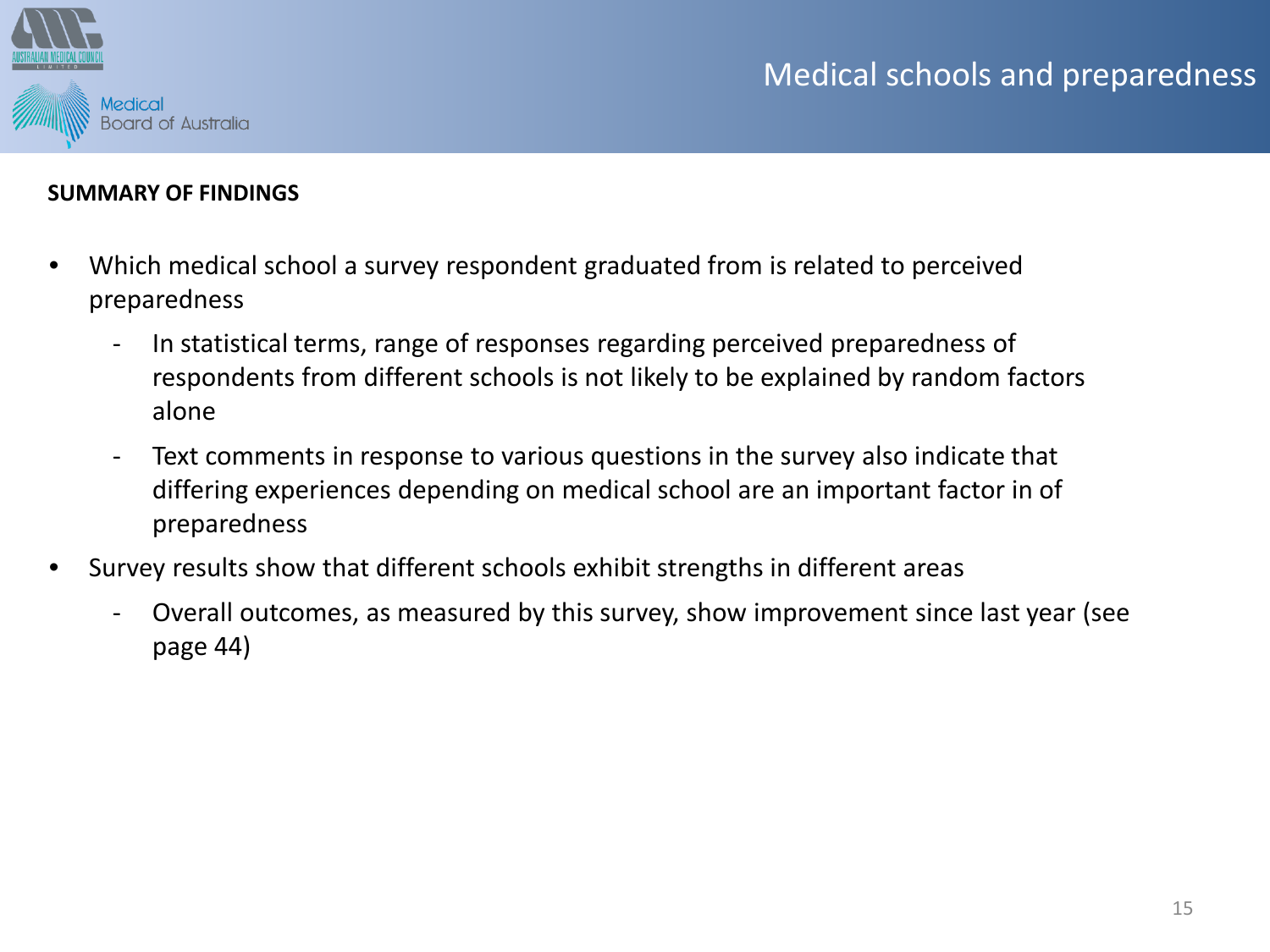![](_page_14_Picture_1.jpeg)

#### **SUMMARY OF FINDINGS**

- Which medical school a survey respondent graduated from is related to perceived preparedness
	- In statistical terms, range of responses regarding perceived preparedness of respondents from different schools is not likely to be explained by random factors alone
	- Text comments in response to various questions in the survey also indicate that differing experiences depending on medical school are an important factor in of preparedness
- Survey results show that different schools exhibit strengths in different areas
	- Overall outcomes, as measured by this survey, show improvement since last year (see page 44)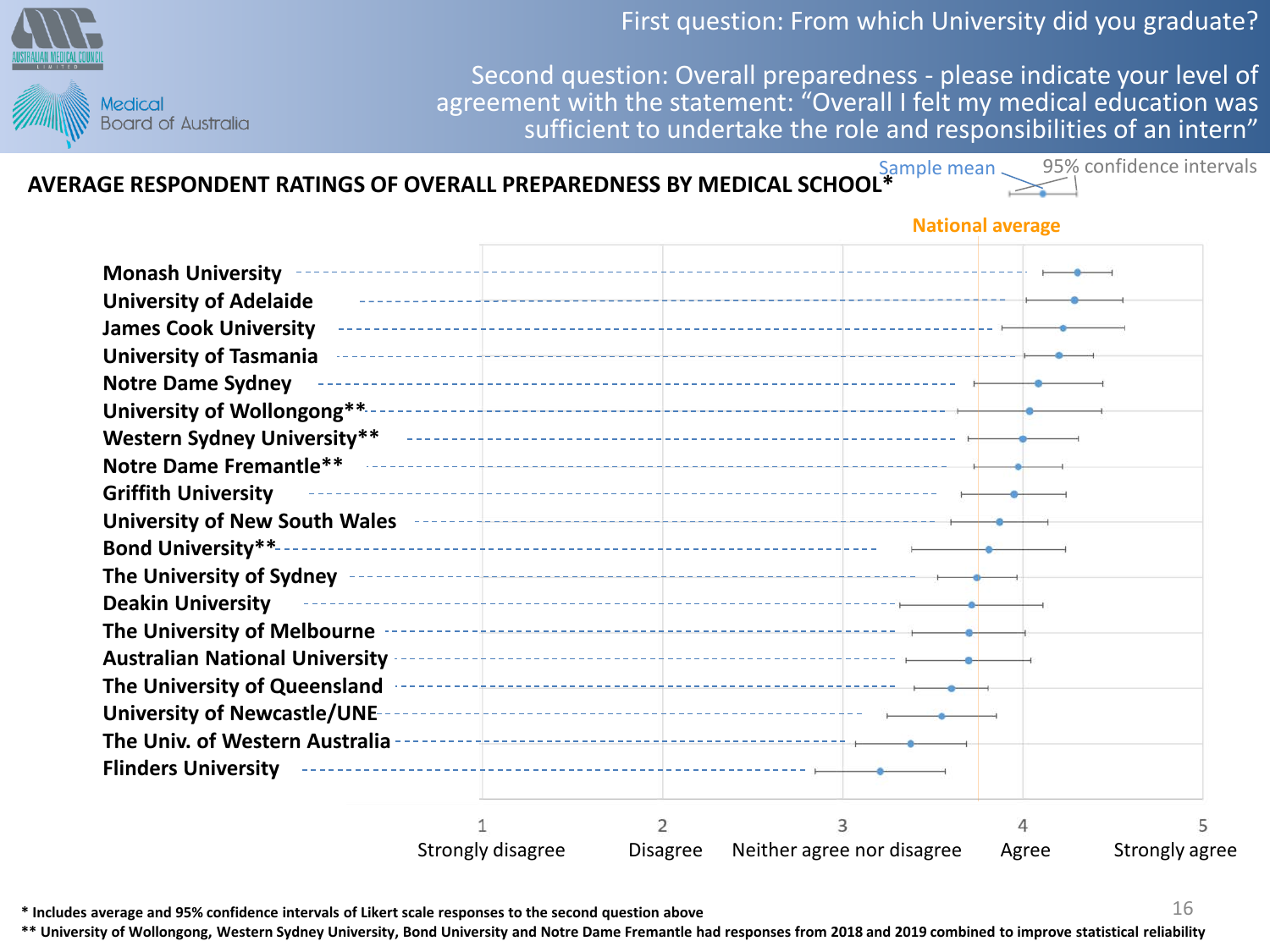First question: From which University did you graduate?

![](_page_15_Picture_1.jpeg)

Second question: Overall preparedness - please indicate your level of agreement with the statement: "Overall I felt my medical education was sufficient to undertake the role and responsibilities of an intern"

![](_page_15_Figure_3.jpeg)

**\* Includes average and 95% confidence intervals of Likert scale responses to the second question above**

**\*\* University of Wollongong, Western Sydney University, Bond University and Notre Dame Fremantle had responses from 2018 and 2019 combined to improve statistical reliability**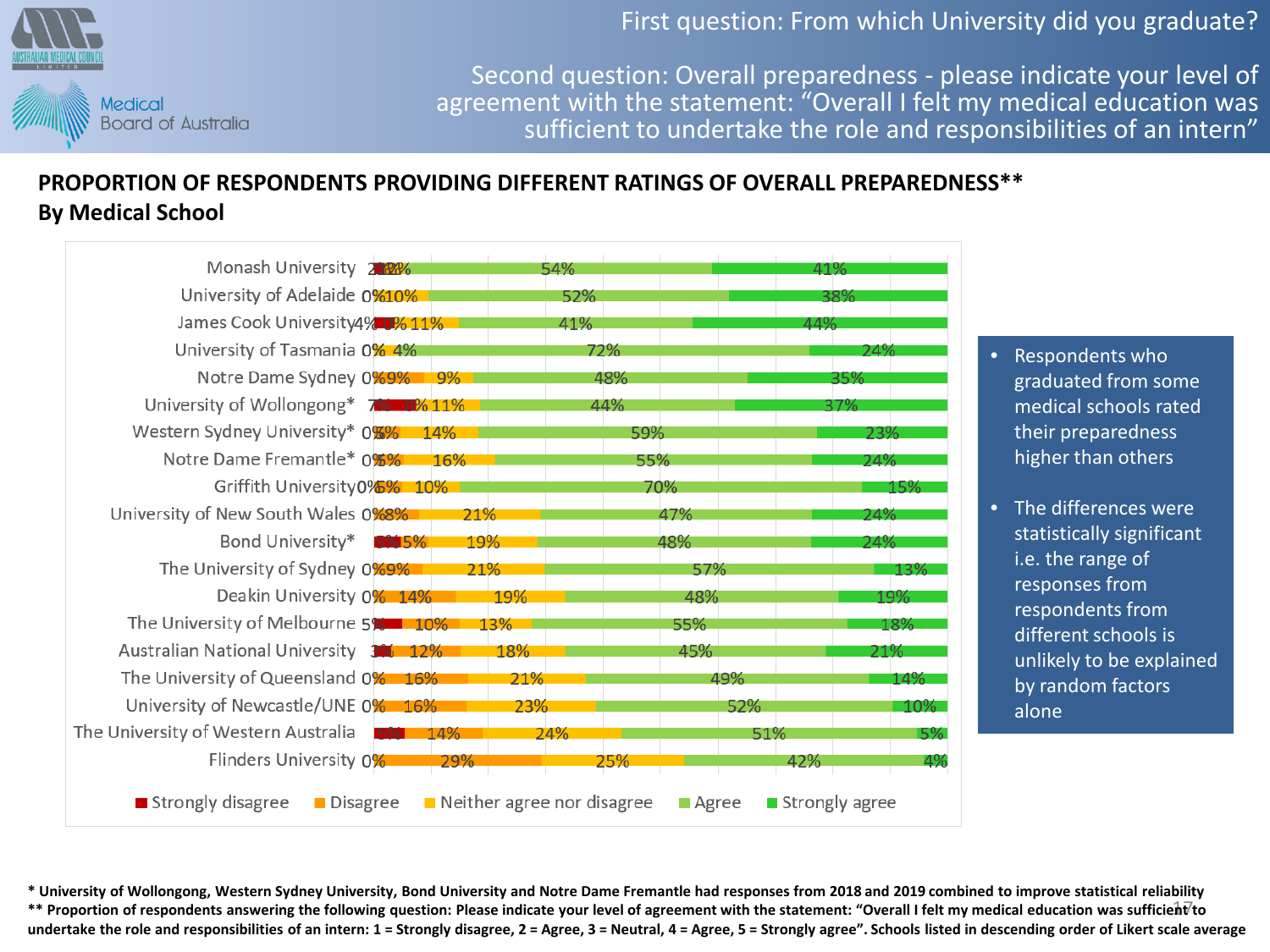First question: From which University did you graduate?

![](_page_16_Picture_1.jpeg)

Second question: Overall preparedness - please indicate your level of agreement with the statement: "Overall I felt my medical education was sufficient to undertake the role and responsibilities of an intern"

# **PROPORTION OF RESPONDENTS PROVIDING DIFFERENT RATINGS OF OVERALL PREPAREDNESS\*\* By Medical School**

| Monash University 2000                                 |                            | 54% | 41%     |                |
|--------------------------------------------------------|----------------------------|-----|---------|----------------|
| University of Adelaide 0%10%                           |                            | 52% |         | 38%            |
| James Cook University4% 0% 11%                         |                            | 41% | 44%     |                |
| University of Tasmania 0% 4%                           |                            | 72% |         | 24%            |
| Notre Dame Sydney 0%9%                                 | 9%                         | 48% |         | 35%            |
| University of Wollongong* 7% 0%11%                     |                            | 44% |         | 37%            |
| Western Sydney University* 0%%                         | 14%                        | 59% |         | 23%            |
| Notre Dame Fremantle* 0%%                              | 16%                        | 55% |         | 24%            |
| Griffith University0%5% 10%                            |                            | 70% |         | 15%            |
| University of New South Wales 0%8%                     | 21%                        | 47% |         | 24%            |
| Bond University*<br>$5\%5\%$                           | <b>19%</b>                 | 48% |         | 24%            |
| The University of Sydney 0%9%                          | 21%                        |     | 57%     | 13%            |
| Deakin University 0% 14%                               | 19%                        | 48% |         | 19%            |
| The University of Melbourne 5% 10%                     | 13%                        | 55% |         | 18%            |
| Australian National University 3<br>$\frac{12}{6}$ 12% | 18%                        | 45% |         | 21%            |
| The University of Queensland 0% 16%                    | 21%                        |     | 49%     | 14% ነ          |
| University of Newcastle/UNE 0% 16%                     | 23%                        |     | 52%     | $10\%$         |
| The University of Western Australia                    | 14%                        | 24% | 51%     | <b>5%</b>      |
| Flinders University 0%                                 | 29%                        | 25% | 42%     | 4%             |
| Strongly disagree<br>Disagree                          | Neither agree nor disagree |     | ■ Agree | Strongly agree |

- Respondents who graduated from some medical schools rated their preparedness higher than others
- The differences were statistically significant i.e. the range of responses from respondents from different schools is unlikely to be explained by random factors alone

\*\* Proportion of respondents answering the following question: Please indicate your level of agreement with the statement: "Overall I felt my medical education was sufficient to **\* University of Wollongong, Western Sydney University, Bond University and Notre Dame Fremantle had responses from 2018 and 2019 combined to improve statistical reliability** undertake the role and responsibilities of an intern: 1 = Strongly disagree, 2 = Agree, 3 = Neutral, 4 = Agree, 5 = Strongly agree". Schools listed in descending order of Likert scale average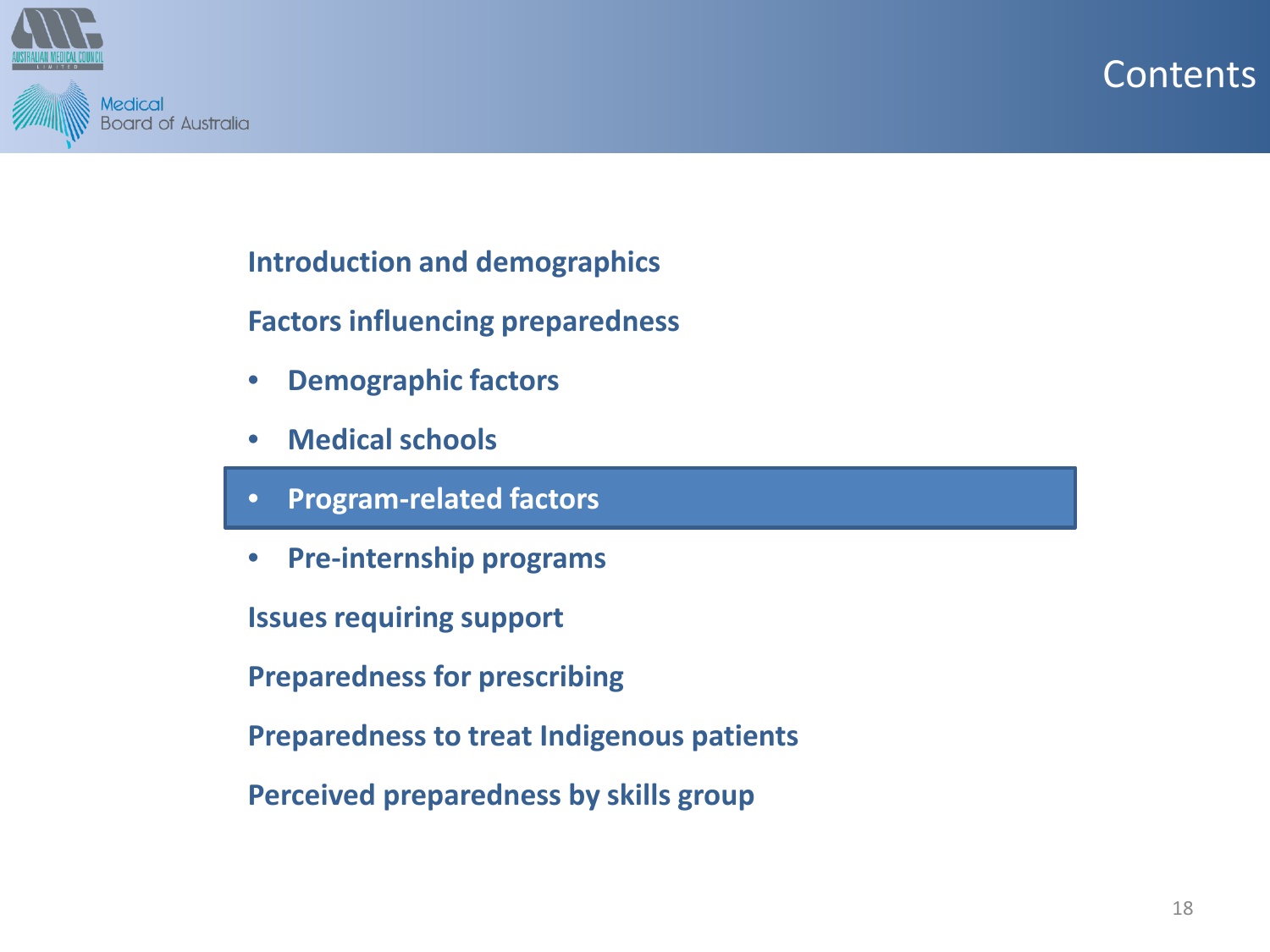![](_page_17_Picture_0.jpeg)

![](_page_17_Picture_1.jpeg)

**Introduction and demographics**

**Factors influencing preparedness**

- **Demographic factors**
- **Medical schools**
- **Program-related factors**
- **Pre-internship programs**

**Issues requiring support**

**Preparedness for prescribing**

**Preparedness to treat Indigenous patients**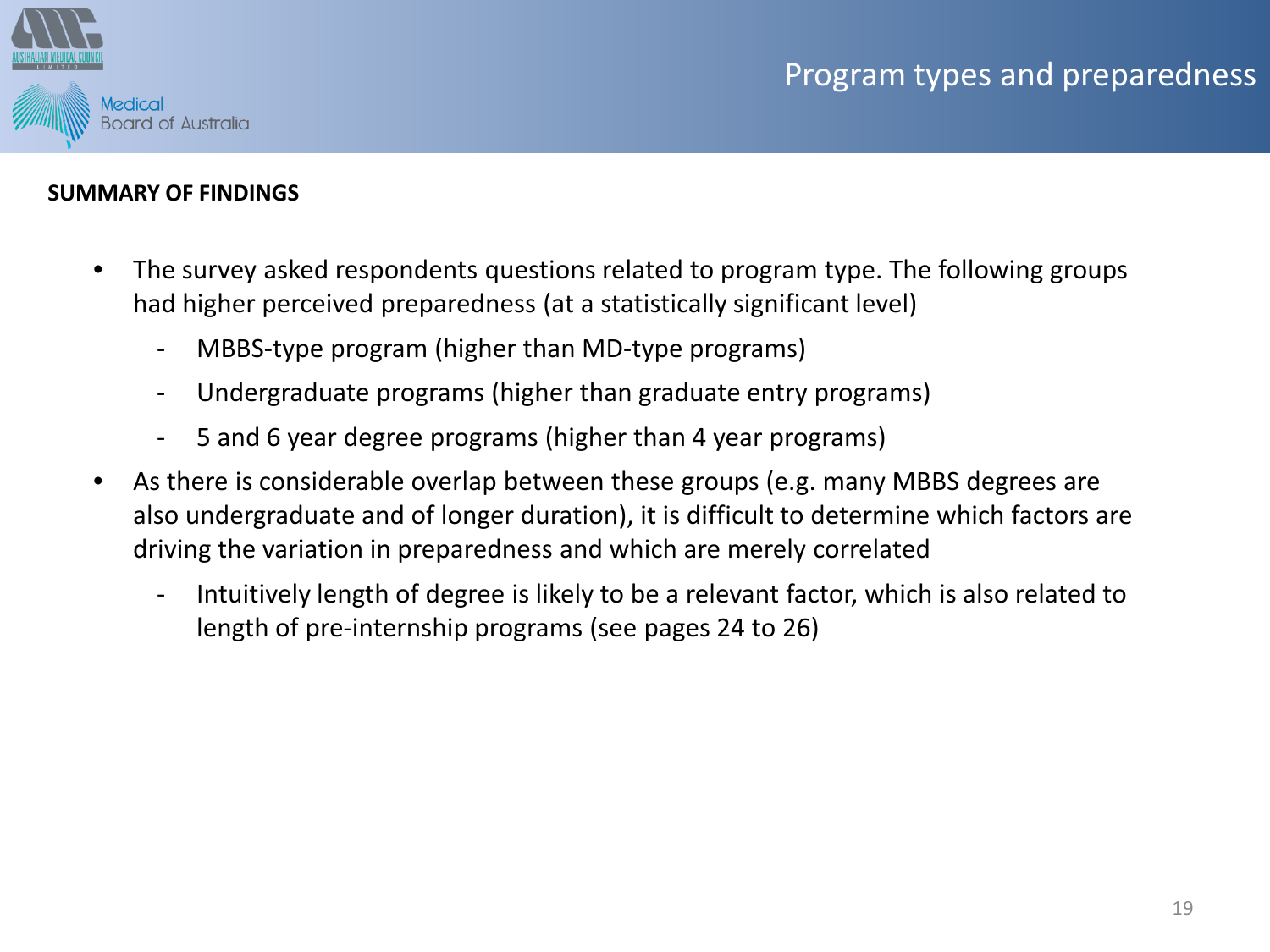![](_page_18_Picture_1.jpeg)

#### **SUMMARY OF FINDINGS**

- The survey asked respondents questions related to program type. The following groups had higher perceived preparedness (at a statistically significant level)
	- MBBS-type program (higher than MD-type programs)
	- Undergraduate programs (higher than graduate entry programs)
	- 5 and 6 year degree programs (higher than 4 year programs)
- As there is considerable overlap between these groups (e.g. many MBBS degrees are also undergraduate and of longer duration), it is difficult to determine which factors are driving the variation in preparedness and which are merely correlated
	- Intuitively length of degree is likely to be a relevant factor, which is also related to length of pre-internship programs (see pages 24 to 26)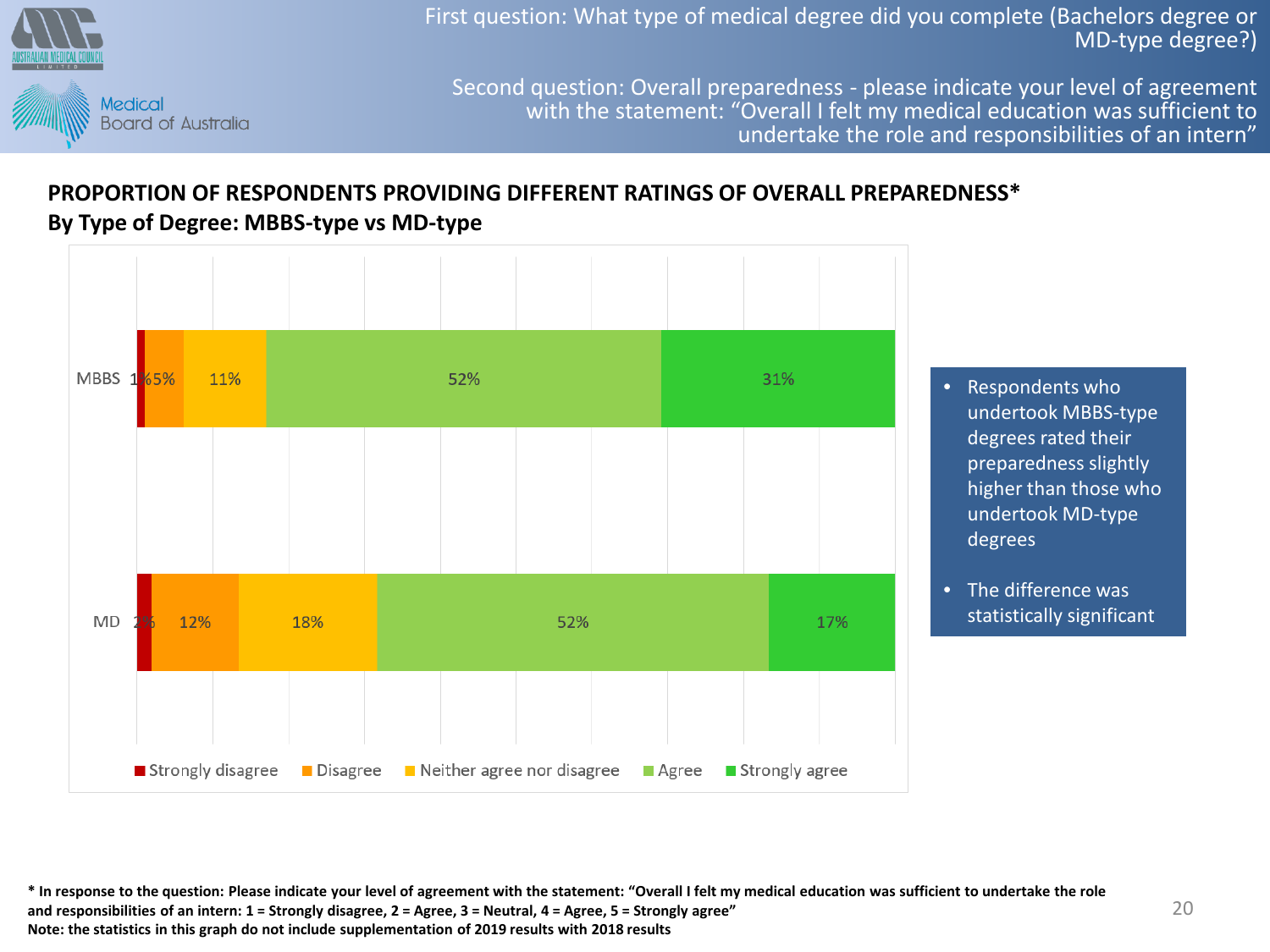![](_page_19_Picture_0.jpeg)

First question: What type of medical degree did you complete (Bachelors degree or MD-type degree?)

Second question: Overall preparedness - please indicate your level of agreement with the statement: "Overall I felt my medical education was sufficient to undertake the role and responsibilities of an intern"

### **PROPORTION OF RESPONDENTS PROVIDING DIFFERENT RATINGS OF OVERALL PREPAREDNESS\* By Type of Degree: MBBS-type vs MD-type**

![](_page_19_Figure_4.jpeg)

<sup>•</sup> Respondents who undertook MBBS-type degrees rated their preparedness slightly higher than those who undertook MD-type degrees

• The difference was statistically significant

**\* In response to the question: Please indicate your level of agreement with the statement: "Overall I felt my medical education was sufficient to undertake the role and responsibilities of an intern: 1 = Strongly disagree, 2 = Agree, 3 = Neutral, 4 = Agree, 5 = Strongly agree" Note: the statistics in this graph do not include supplementation of 2019 results with 2018 results**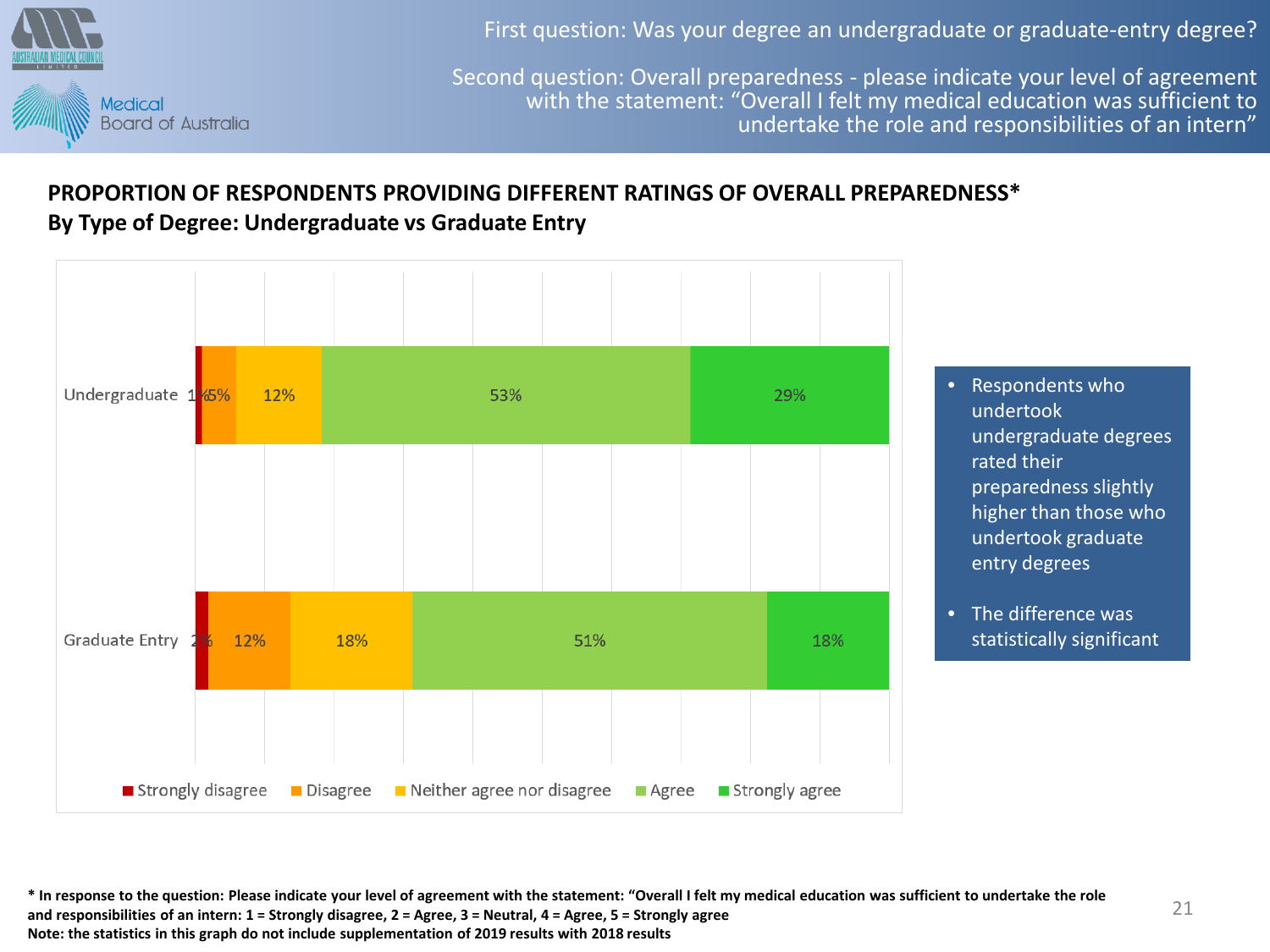![](_page_20_Picture_0.jpeg)

First question: Was your degree an undergraduate or graduate-entry degree?

Second question: Overall preparedness - please indicate your level of agreement with the statement: "Overall I felt my medical education was sufficient to undertake the role and responsibilities of an intern"

# **PROPORTION OF RESPONDENTS PROVIDING DIFFERENT RATINGS OF OVERALL PREPAREDNESS\* By Type of Degree: Undergraduate vs Graduate Entry**

![](_page_20_Figure_4.jpeg)

<sup>•</sup> Respondents who undertook undergraduate degrees rated their preparedness slightly higher than those who undertook graduate entry degrees

<sup>21</sup> **\* In response to the question: Please indicate your level of agreement with the statement: "Overall I felt my medical education was sufficient to undertake the role and responsibilities of an intern: 1 = Strongly disagree, 2 = Agree, 3 = Neutral, 4 = Agree, 5 = Strongly agree Note: the statistics in this graph do not include supplementation of 2019 results with 2018 results**

<sup>•</sup> The difference was statistically significant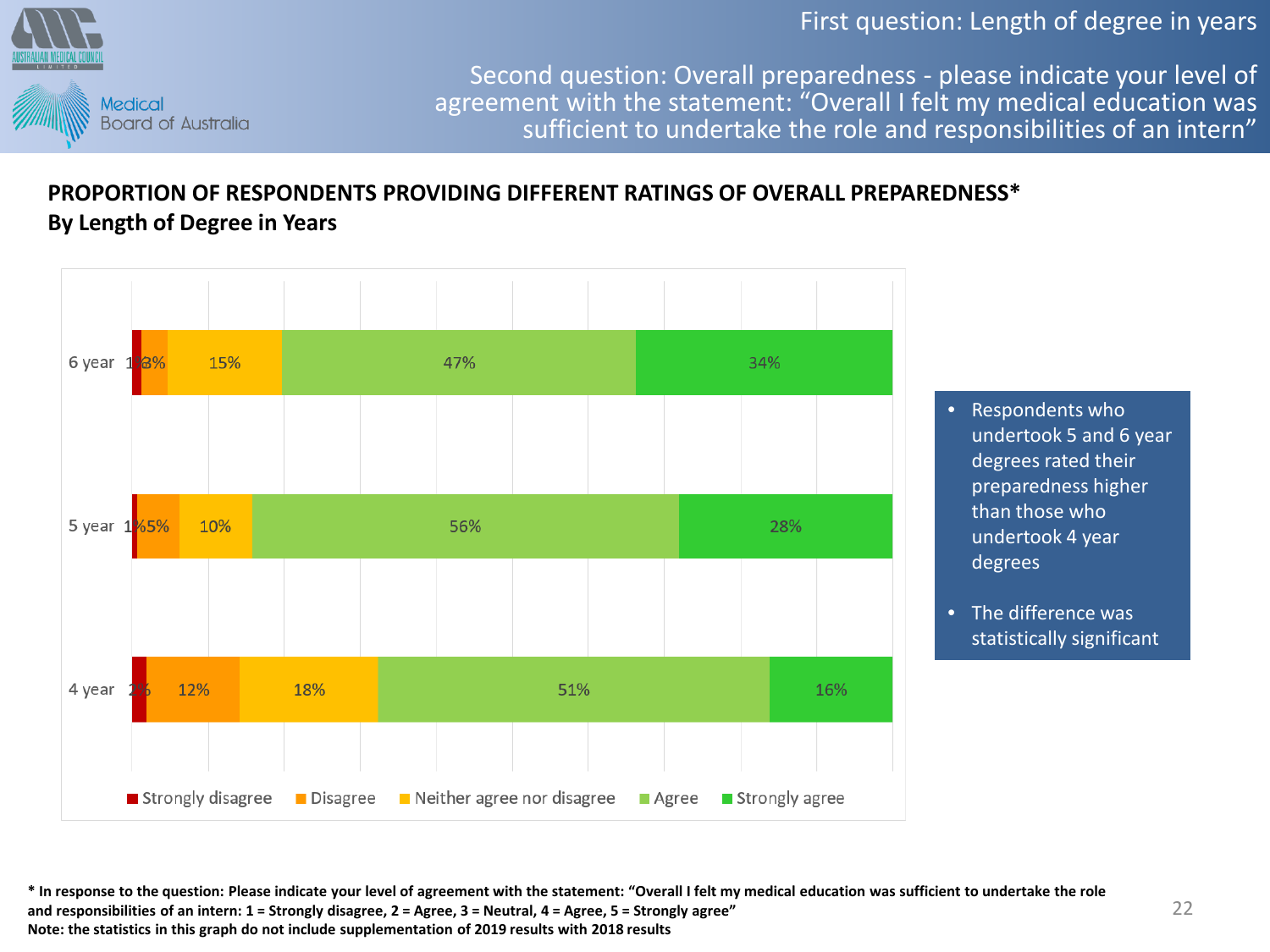First question: Length of degree in years

![](_page_21_Picture_1.jpeg)

Second question: Overall preparedness - please indicate your level of agreement with the statement: "Overall I felt my medical education was sufficient to undertake the role and responsibilities of an intern"

# **PROPORTION OF RESPONDENTS PROVIDING DIFFERENT RATINGS OF OVERALL PREPAREDNESS\* By Length of Degree in Years**

![](_page_21_Figure_4.jpeg)

• Respondents who undertook 5 and 6 year degrees rated their preparedness higher than those who undertook 4 year degrees

• The difference was statistically significant

**\* In response to the question: Please indicate your level of agreement with the statement: "Overall I felt my medical education was sufficient to undertake the role and responsibilities of an intern: 1 = Strongly disagree, 2 = Agree, 3 = Neutral, 4 = Agree, 5 = Strongly agree" Note: the statistics in this graph do not include supplementation of 2019 results with 2018 results**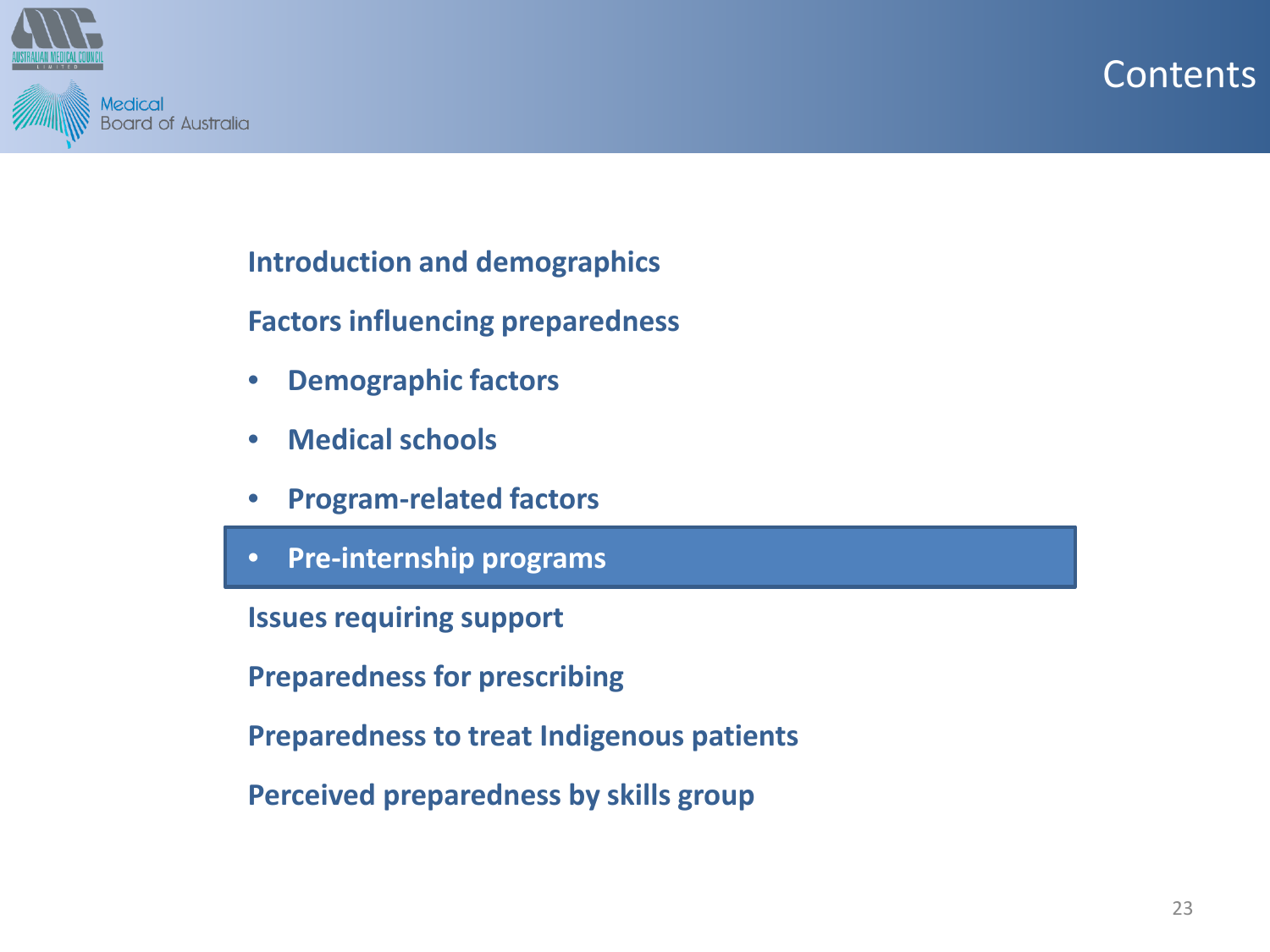![](_page_22_Picture_0.jpeg)

![](_page_22_Picture_1.jpeg)

**Introduction and demographics**

**Factors influencing preparedness**

- **Demographic factors**
- **Medical schools**
- **Program-related factors**
- **Pre-internship programs**

**Issues requiring support**

**Preparedness for prescribing**

**Preparedness to treat Indigenous patients**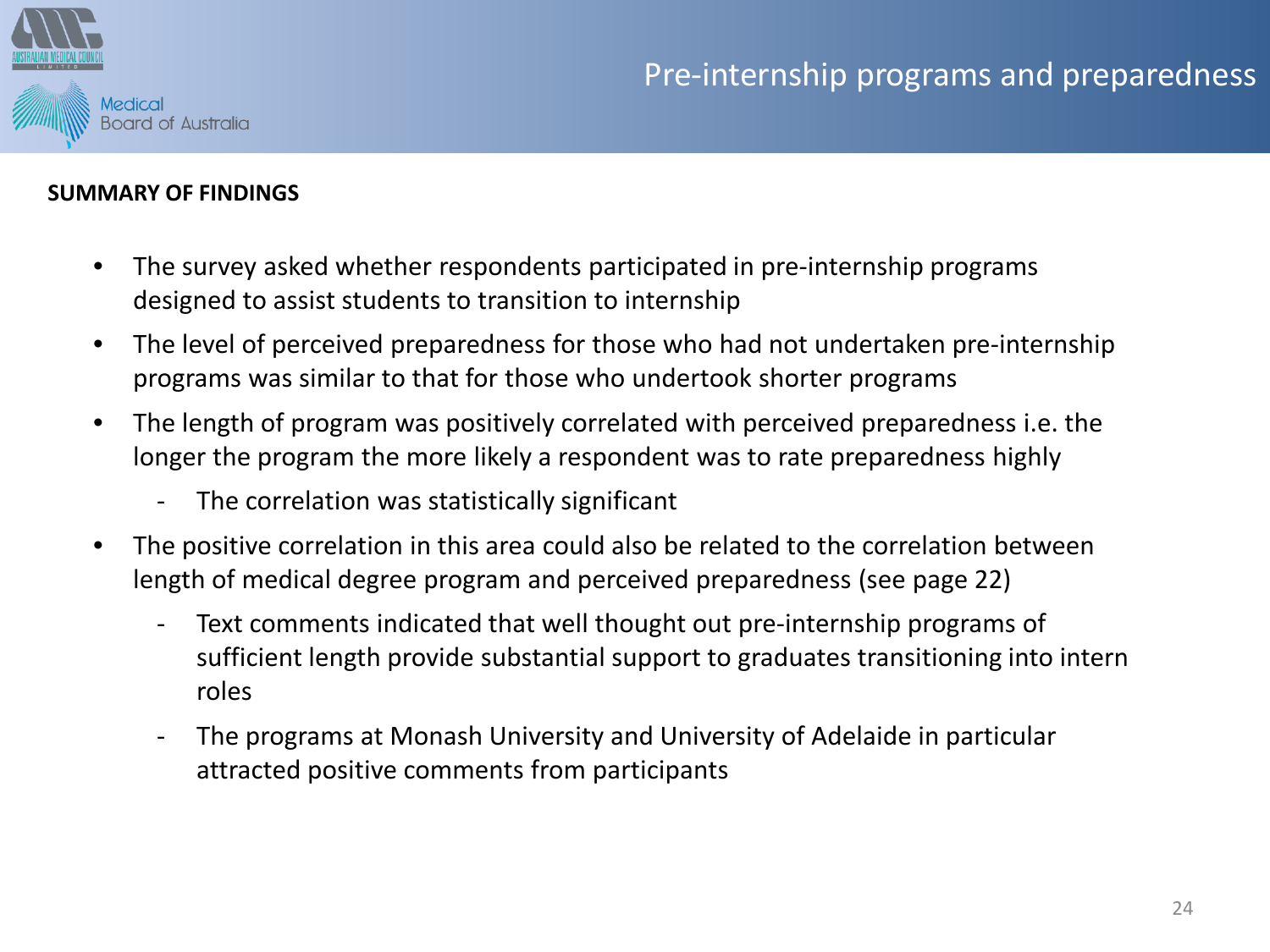![](_page_23_Picture_1.jpeg)

#### **SUMMARY OF FINDINGS**

- The survey asked whether respondents participated in pre-internship programs designed to assist students to transition to internship
- The level of perceived preparedness for those who had not undertaken pre-internship programs was similar to that for those who undertook shorter programs
- The length of program was positively correlated with perceived preparedness i.e. the longer the program the more likely a respondent was to rate preparedness highly
	- The correlation was statistically significant
- The positive correlation in this area could also be related to the correlation between length of medical degree program and perceived preparedness (see page 22)
	- Text comments indicated that well thought out pre-internship programs of sufficient length provide substantial support to graduates transitioning into intern roles
	- The programs at Monash University and University of Adelaide in particular attracted positive comments from participants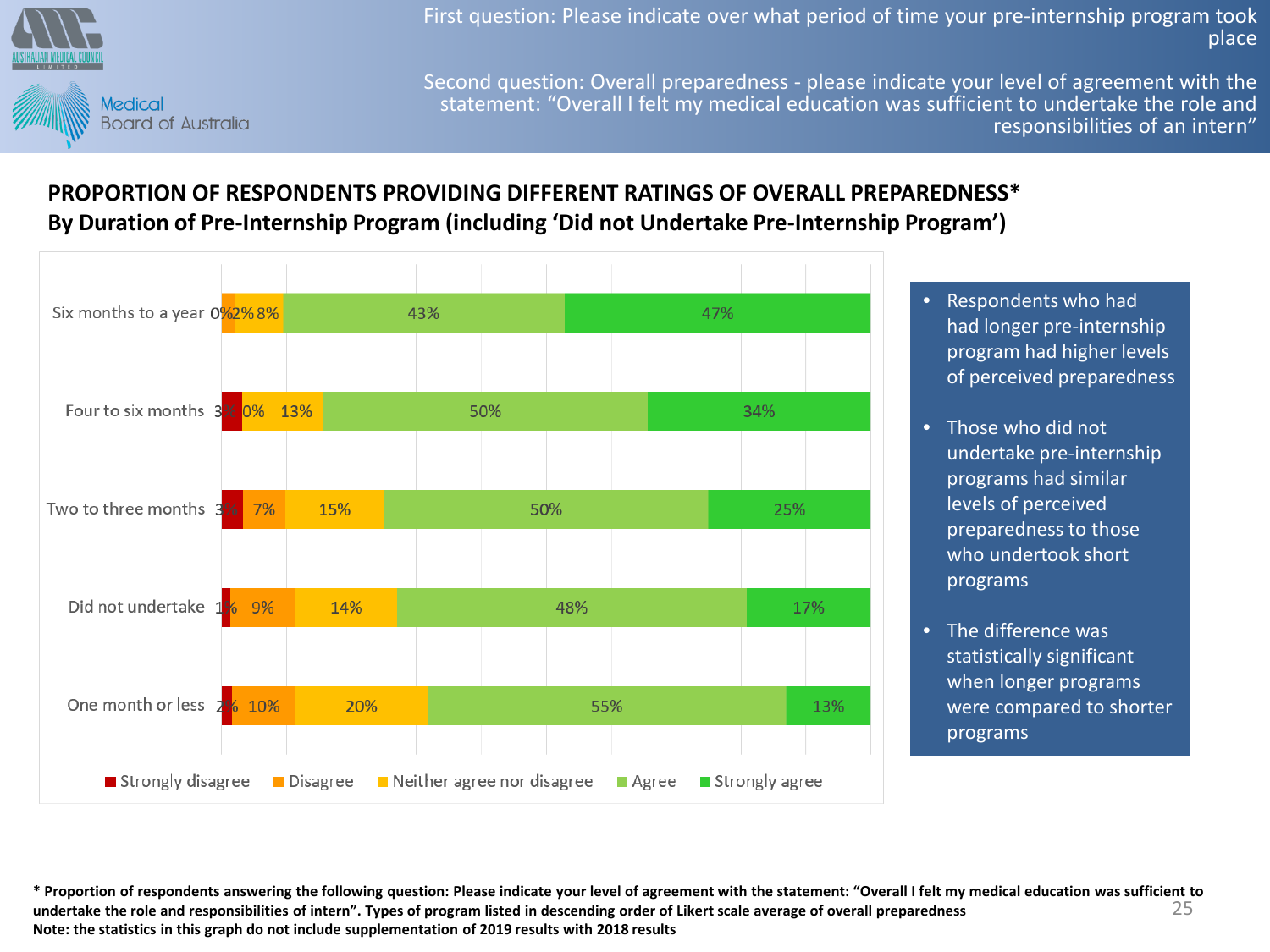![](_page_24_Picture_0.jpeg)

First question: Please indicate over what period of time your pre-internship program took place

Second question: Overall preparedness - please indicate your level of agreement with the statement: "Overall I felt my medical education was sufficient to undertake the role and responsibilities of an intern"

# **PROPORTION OF RESPONDENTS PROVIDING DIFFERENT RATINGS OF OVERALL PREPAREDNESS\* By Duration of Pre-Internship Program (including 'Did not Undertake Pre-Internship Program')**

![](_page_24_Figure_4.jpeg)

- Respondents who had had longer pre-internship program had higher levels of perceived preparedness
- Those who did not undertake pre-internship programs had similar levels of perceived preparedness to those who undertook short programs
- The difference was statistically significant when longer programs were compared to shorter programs

**\* Proportion of respondents answering the following question: Please indicate your level of agreement with the statement: "Overall I felt my medical education was sufficient to undertake the role and responsibilities of intern". Types of program listed in descending order of Likert scale average of overall preparedness Note: the statistics in this graph do not include supplementation of 2019 results with 2018 results** 25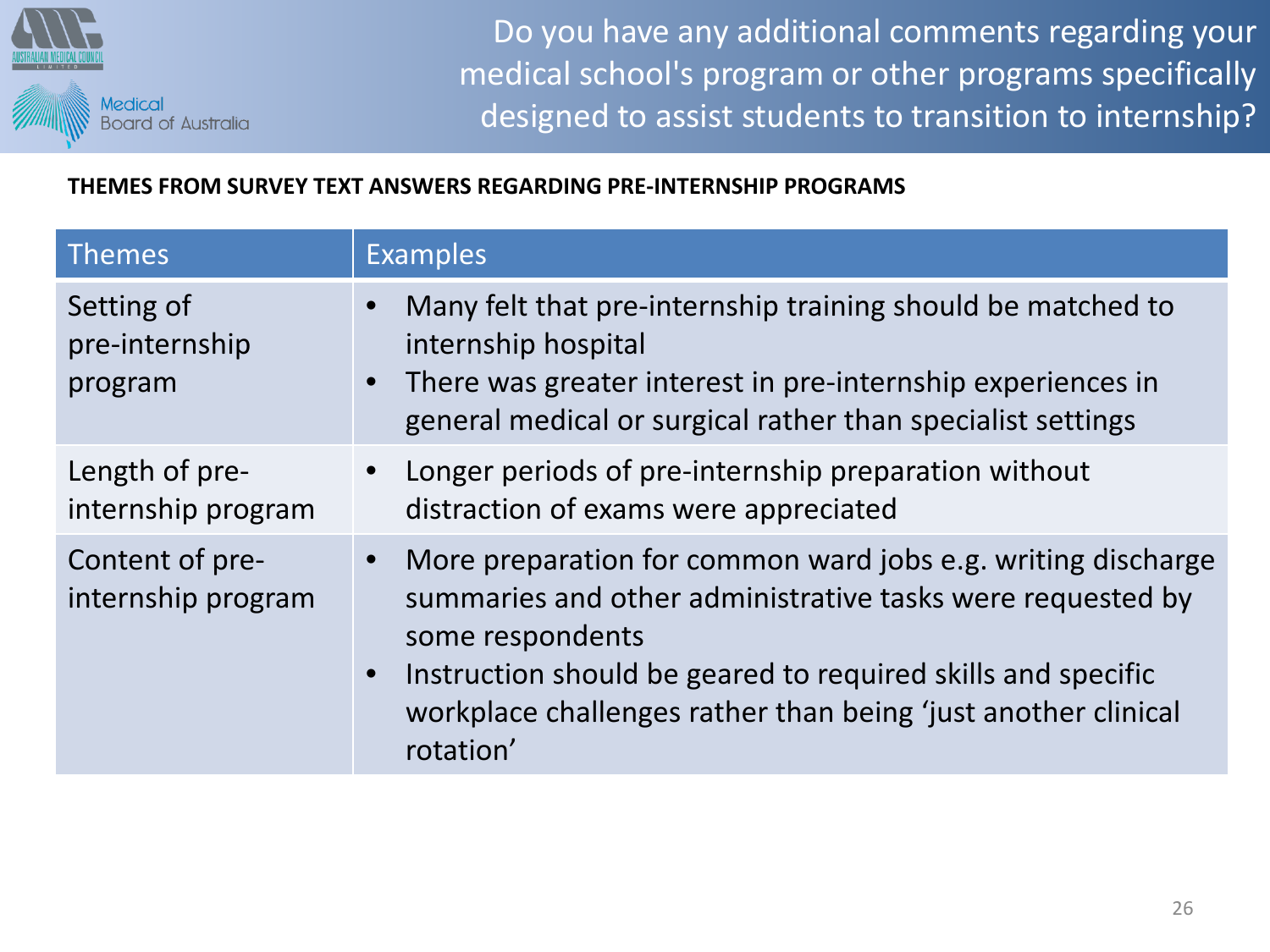![](_page_25_Picture_0.jpeg)

Do you have any additional comments regarding your medical school's program or other programs specifically designed to assist students to transition to internship?

**THEMES FROM SURVEY TEXT ANSWERS REGARDING PRE-INTERNSHIP PROGRAMS**

| <b>Themes</b>                           | <b>Examples</b>                                                                                                                                                                                                                                                                              |
|-----------------------------------------|----------------------------------------------------------------------------------------------------------------------------------------------------------------------------------------------------------------------------------------------------------------------------------------------|
| Setting of<br>pre-internship<br>program | Many felt that pre-internship training should be matched to<br>internship hospital<br>There was greater interest in pre-internship experiences in<br>general medical or surgical rather than specialist settings                                                                             |
| Length of pre-<br>internship program    | • Longer periods of pre-internship preparation without<br>distraction of exams were appreciated                                                                                                                                                                                              |
| Content of pre-<br>internship program   | More preparation for common ward jobs e.g. writing discharge<br>summaries and other administrative tasks were requested by<br>some respondents<br>Instruction should be geared to required skills and specific<br>workplace challenges rather than being 'just another clinical<br>rotation' |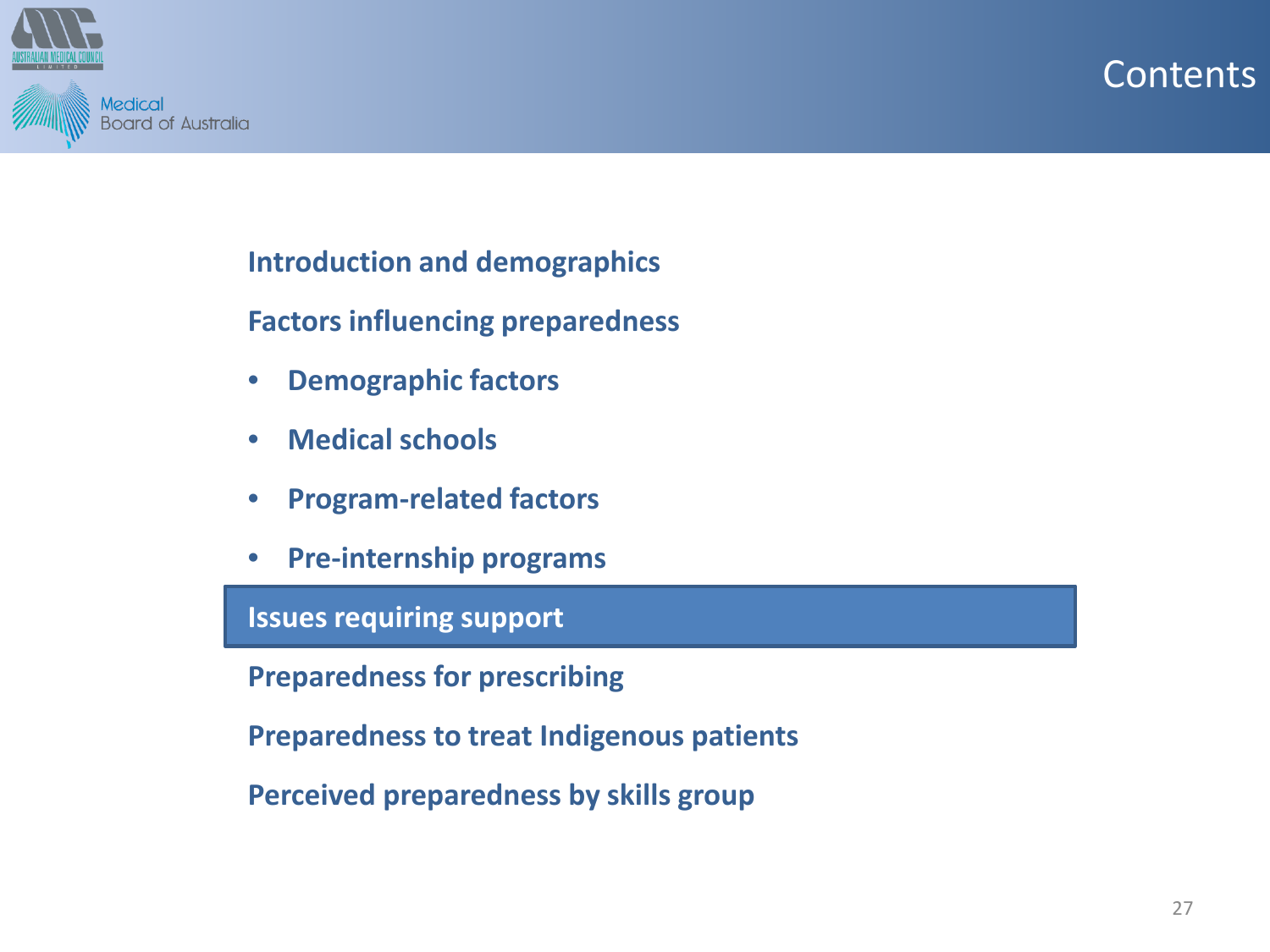![](_page_26_Picture_0.jpeg)

![](_page_26_Picture_1.jpeg)

**Introduction and demographics**

**Factors influencing preparedness**

- **Demographic factors**
- **Medical schools**
- **Program-related factors**
- **Pre-internship programs**

**Issues requiring support**

**Preparedness for prescribing**

**Preparedness to treat Indigenous patients**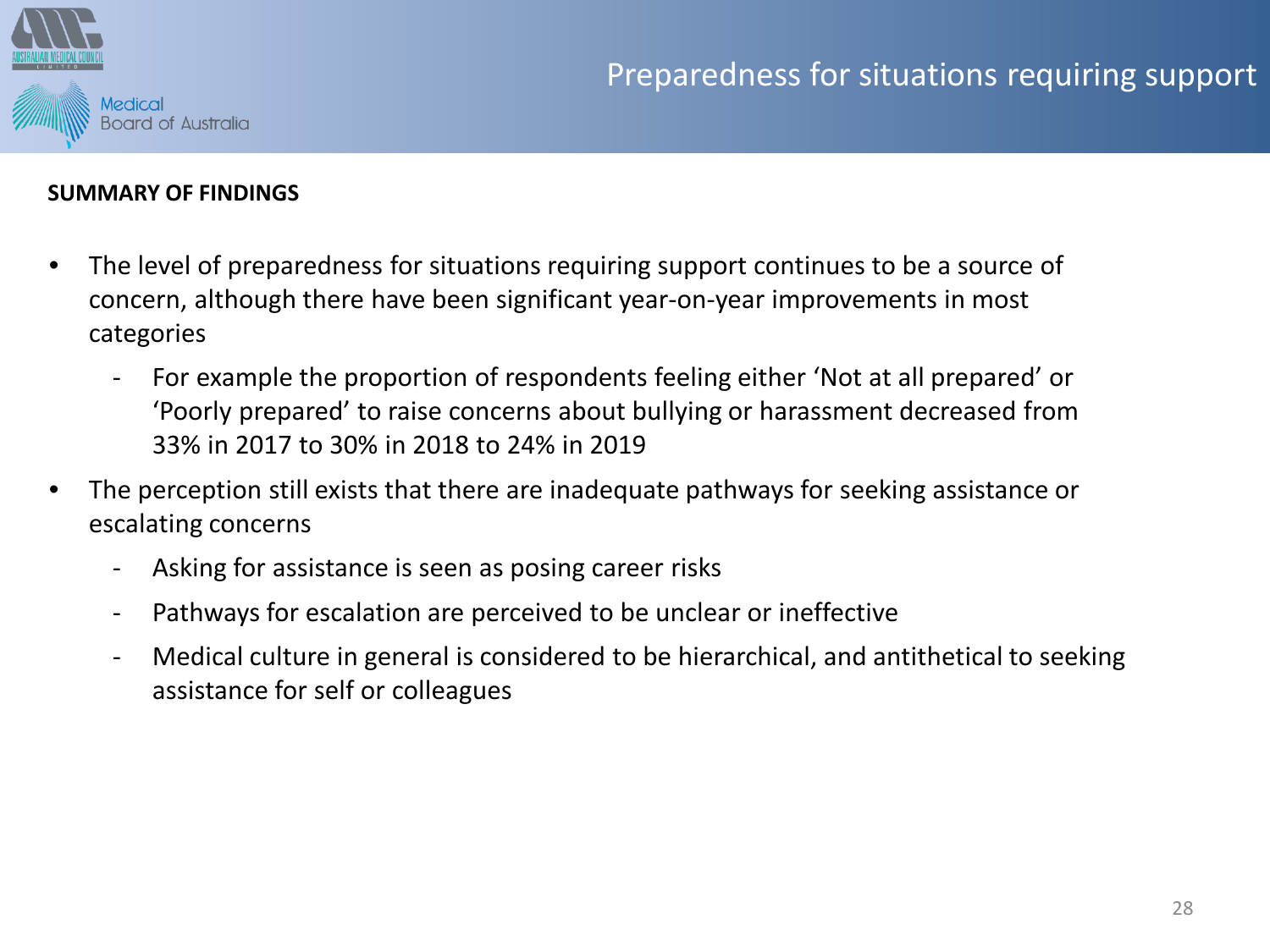![](_page_27_Picture_1.jpeg)

#### **SUMMARY OF FINDINGS**

- The level of preparedness for situations requiring support continues to be a source of concern, although there have been significant year-on-year improvements in most categories
	- For example the proportion of respondents feeling either 'Not at all prepared' or 'Poorly prepared' to raise concerns about bullying or harassment decreased from 33% in 2017 to 30% in 2018 to 24% in 2019
- The perception still exists that there are inadequate pathways for seeking assistance or escalating concerns
	- Asking for assistance is seen as posing career risks
	- Pathways for escalation are perceived to be unclear or ineffective
	- Medical culture in general is considered to be hierarchical, and antithetical to seeking assistance for self or colleagues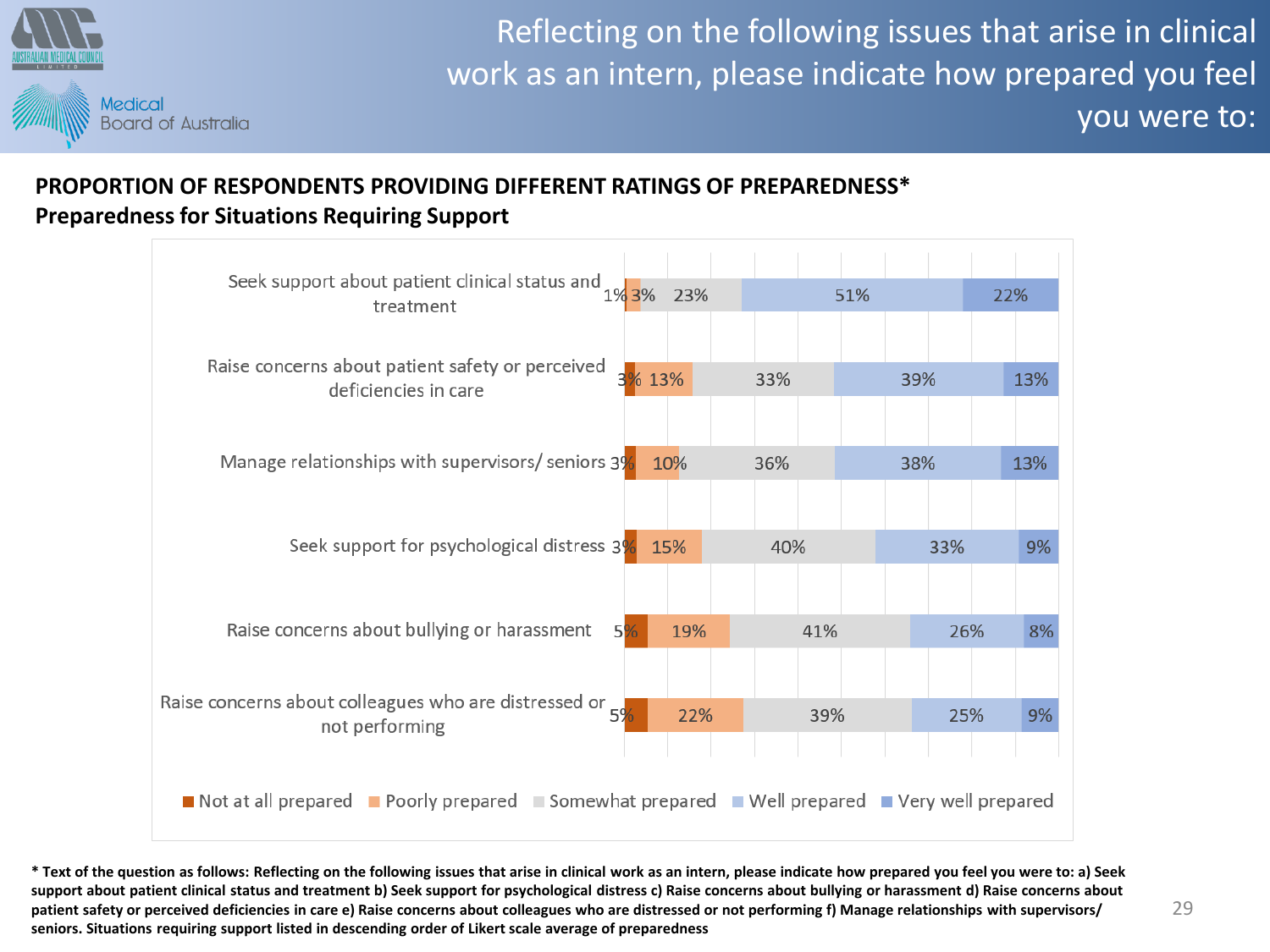![](_page_28_Picture_0.jpeg)

Reflecting on the following issues that arise in clinical work as an intern, please indicate how prepared you feel you were to:

# **PROPORTION OF RESPONDENTS PROVIDING DIFFERENT RATINGS OF PREPAREDNESS\* Preparedness for Situations Requiring Support**

![](_page_28_Figure_3.jpeg)

**\* Text of the question as follows: Reflecting on the following issues that arise in clinical work as an intern, please indicate how prepared you feel you were to: a) Seek support about patient clinical status and treatment b) Seek support for psychological distress c) Raise concerns about bullying or harassment d) Raise concerns about patient safety or perceived deficiencies in care e) Raise concerns about colleagues who are distressed or not performing f) Manage relationships with supervisors/ seniors. Situations requiring support listed in descending order of Likert scale average of preparedness**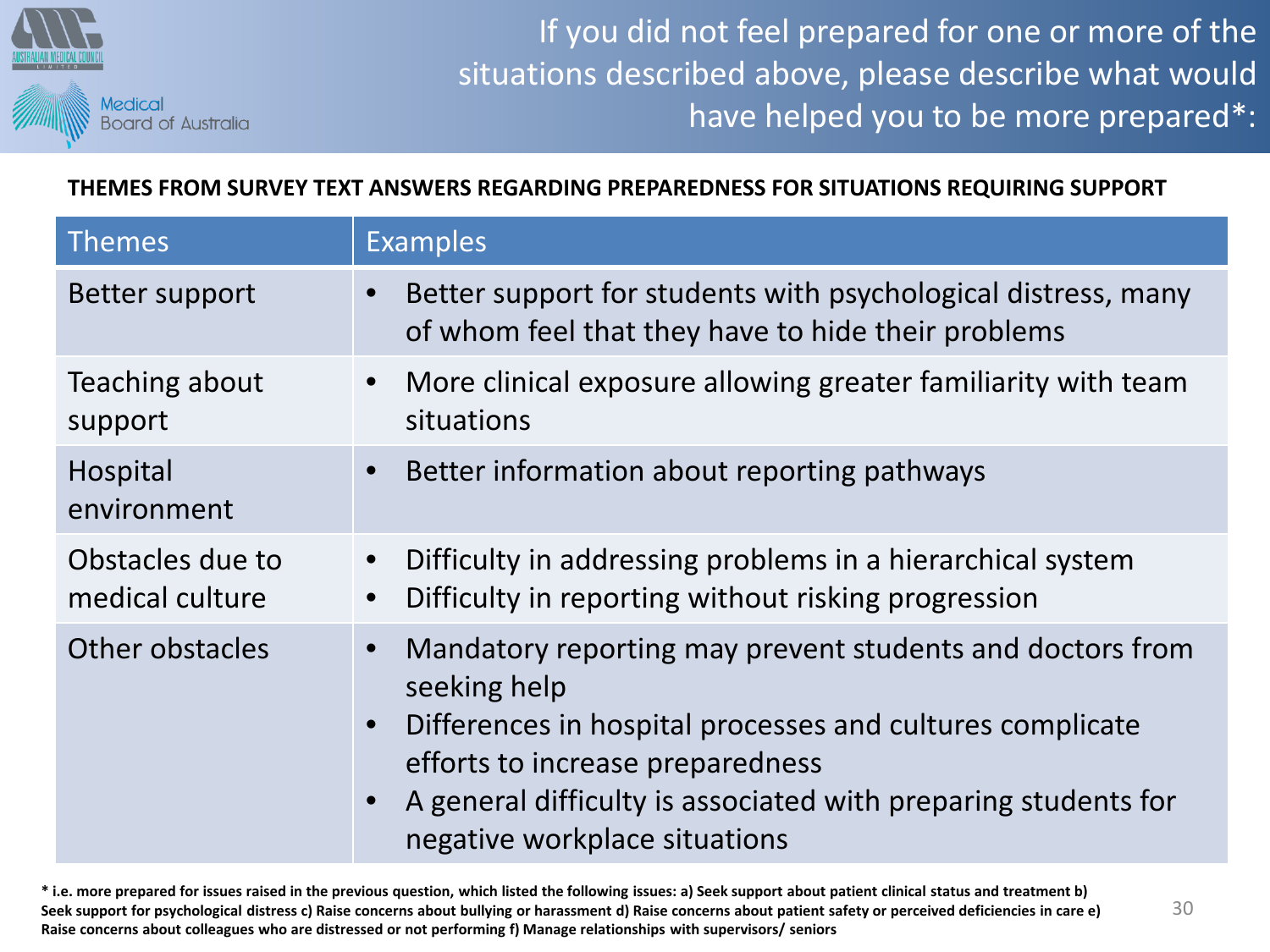![](_page_29_Picture_0.jpeg)

If you did not feel prepared for one or more of the situations described above, please describe what would have helped you to be more prepared\*:

**THEMES FROM SURVEY TEXT ANSWERS REGARDING PREPAREDNESS FOR SITUATIONS REQUIRING SUPPORT**

| <b>Themes</b>                       | <b>Examples</b>                                                                                                                                                                                                                                                                                         |
|-------------------------------------|---------------------------------------------------------------------------------------------------------------------------------------------------------------------------------------------------------------------------------------------------------------------------------------------------------|
| Better support                      | Better support for students with psychological distress, many<br>of whom feel that they have to hide their problems                                                                                                                                                                                     |
| Teaching about<br>support           | More clinical exposure allowing greater familiarity with team<br>situations                                                                                                                                                                                                                             |
| Hospital<br>environment             | Better information about reporting pathways                                                                                                                                                                                                                                                             |
| Obstacles due to<br>medical culture | Difficulty in addressing problems in a hierarchical system<br>$\bullet$<br>Difficulty in reporting without risking progression<br>$\bullet$                                                                                                                                                             |
| Other obstacles                     | Mandatory reporting may prevent students and doctors from<br>$\bullet$<br>seeking help<br>Differences in hospital processes and cultures complicate<br>$\bullet$<br>efforts to increase preparedness<br>A general difficulty is associated with preparing students for<br>negative workplace situations |

**\* i.e. more prepared for issues raised in the previous question, which listed the following issues: a) Seek support about patient clinical status and treatment b) Seek support for psychological distress c) Raise concerns about bullying or harassment d) Raise concerns about patient safety or perceived deficiencies in care e) Raise concerns about colleagues who are distressed or not performing f) Manage relationships with supervisors/ seniors**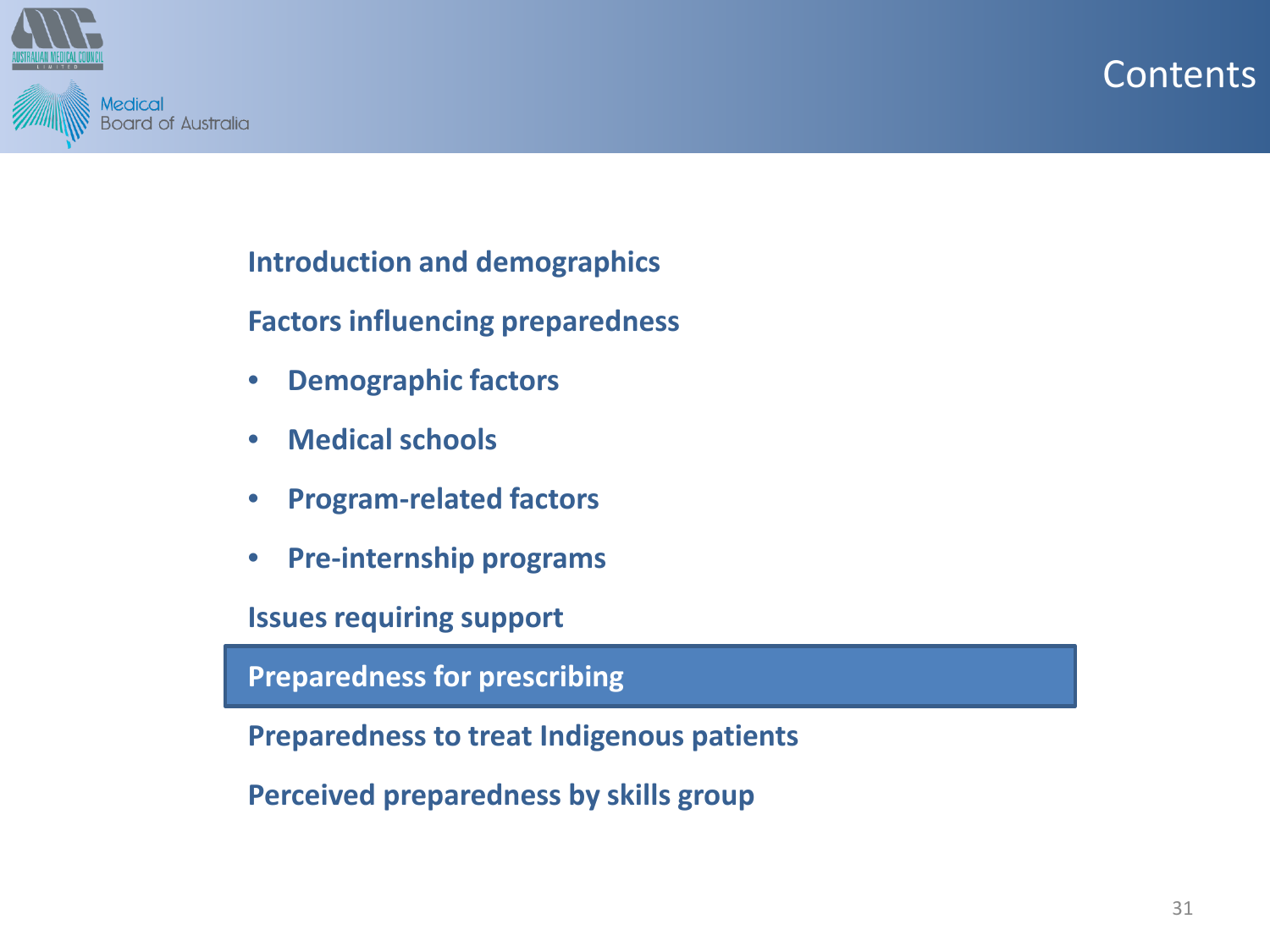![](_page_30_Picture_0.jpeg)

![](_page_30_Picture_1.jpeg)

**Introduction and demographics**

**Factors influencing preparedness**

- **Demographic factors**
- **Medical schools**
- **Program-related factors**
- **Pre-internship programs**

**Issues requiring support**

**Preparedness for prescribing**

**Preparedness to treat Indigenous patients**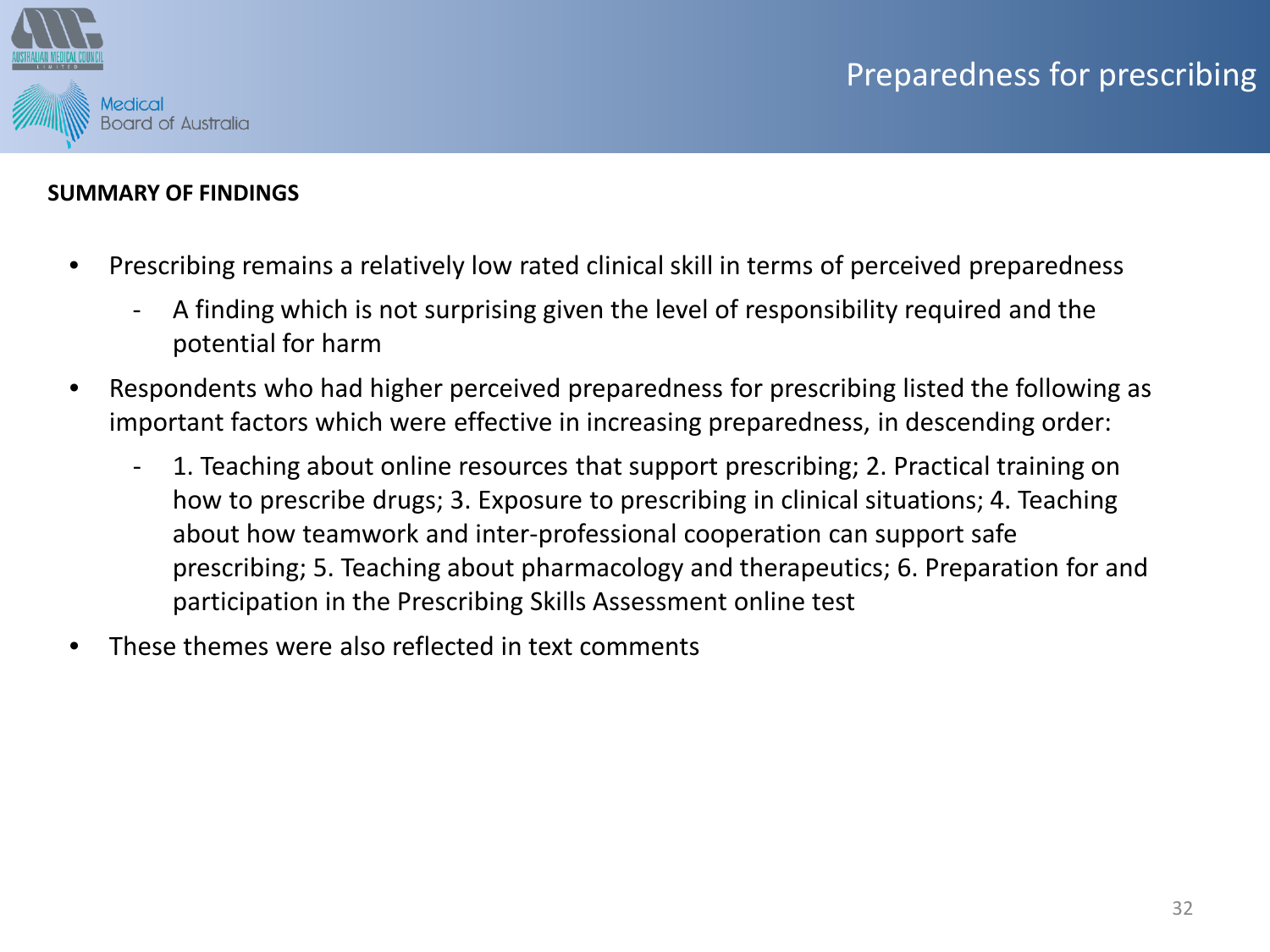![](_page_31_Picture_1.jpeg)

### **SUMMARY OF FINDINGS**

- Prescribing remains a relatively low rated clinical skill in terms of perceived preparedness
	- A finding which is not surprising given the level of responsibility required and the potential for harm
- Respondents who had higher perceived preparedness for prescribing listed the following as important factors which were effective in increasing preparedness, in descending order:
	- 1. Teaching about online resources that support prescribing; 2. Practical training on how to prescribe drugs; 3. Exposure to prescribing in clinical situations; 4. Teaching about how teamwork and inter-professional cooperation can support safe prescribing; 5. Teaching about pharmacology and therapeutics; 6. Preparation for and participation in the Prescribing Skills Assessment online test
- These themes were also reflected in text comments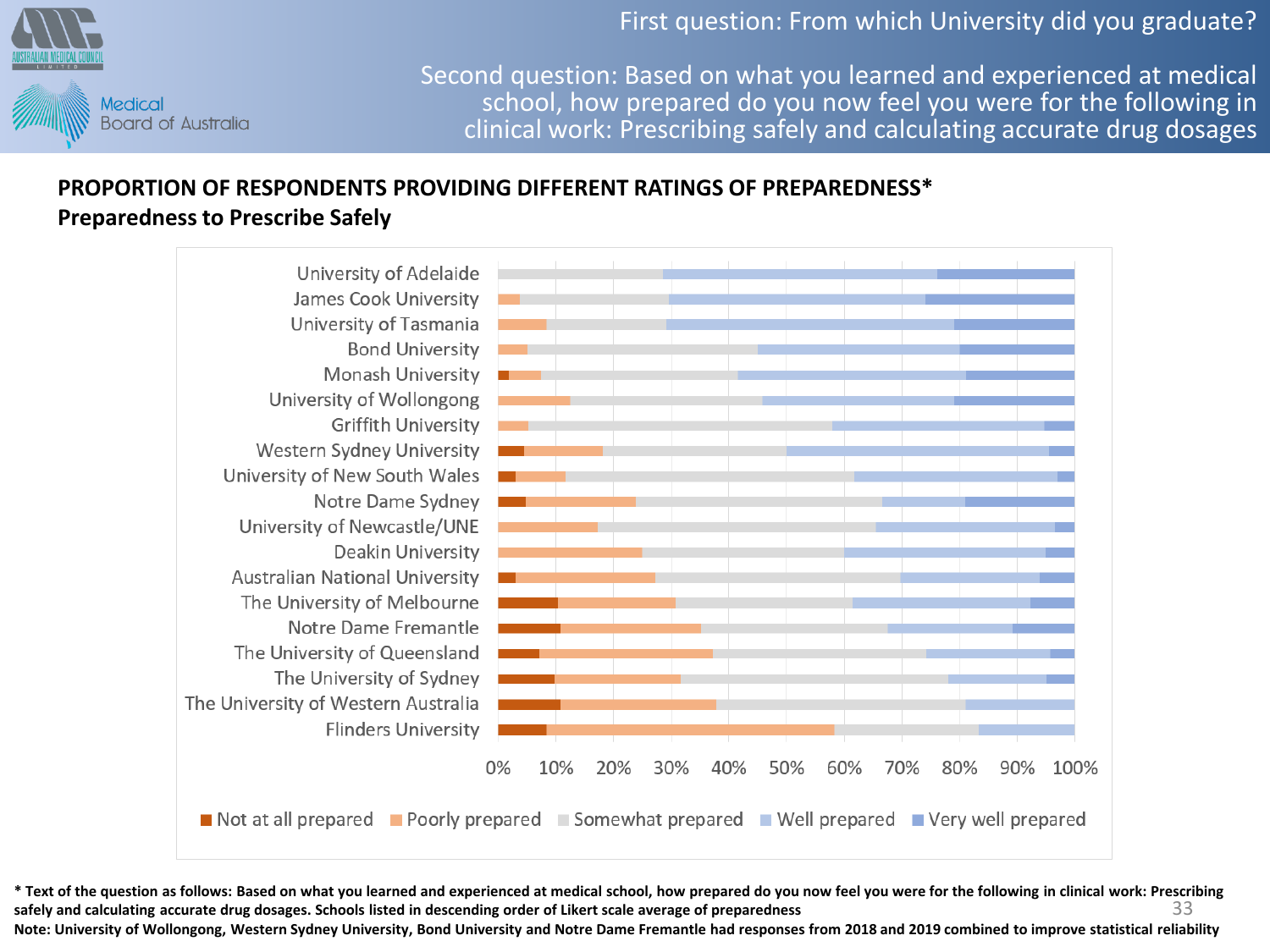First question: From which University did you graduate?

![](_page_32_Picture_1.jpeg)

Second question: Based on what you learned and experienced at medical school, how prepared do you now feel you were for the following in clinical work: Prescribing safely and calculating accurate drug dosages

# **PROPORTION OF RESPONDENTS PROVIDING DIFFERENT RATINGS OF PREPAREDNESS\* Preparedness to Prescribe Safely**

![](_page_32_Figure_4.jpeg)

33 **\* Text of the question as follows: Based on what you learned and experienced at medical school, how prepared do you now feel you were for the following in clinical work: Prescribing safely and calculating accurate drug dosages. Schools listed in descending order of Likert scale average of preparedness**

**Note: University of Wollongong, Western Sydney University, Bond University and Notre Dame Fremantle had responses from 2018 and 2019 combined to improve statistical reliability**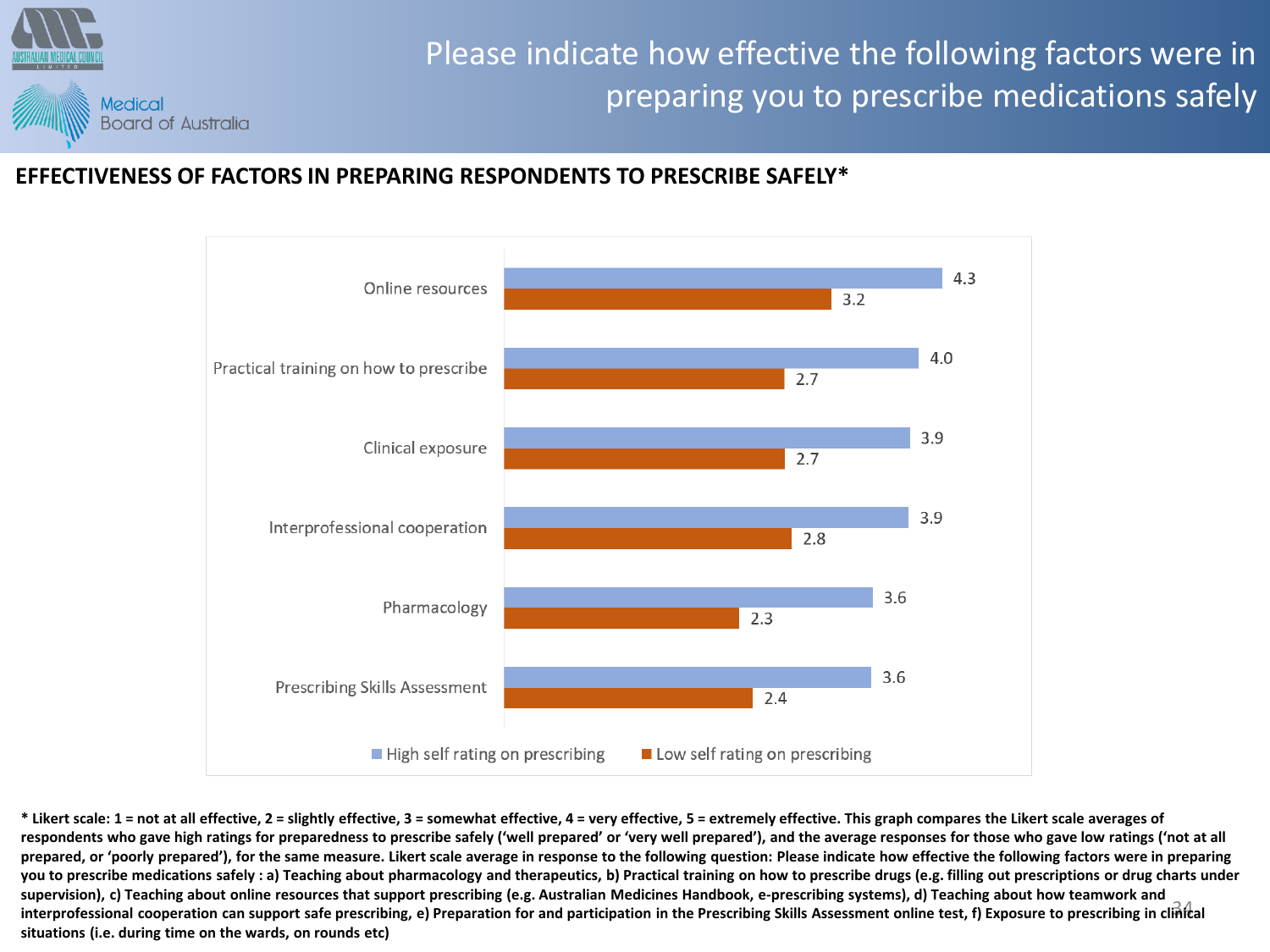![](_page_33_Picture_0.jpeg)

# Please indicate how effective the following factors were in preparing you to prescribe medications safely

### **EFFECTIVENESS OF FACTORS IN PREPARING RESPONDENTS TO PRESCRIBE SAFELY\***

![](_page_33_Figure_3.jpeg)

34 **interprofessional cooperation can support safe prescribing, e) Preparation for and participation in the Prescribing Skills Assessment online test, f) Exposure to prescribing in clinical \* Likert scale: 1 = not at all effective, 2 = slightly effective, 3 = somewhat effective, 4 = very effective, 5 = extremely effective. This graph compares the Likert scale averages of**  respondents who gave high ratings for preparedness to prescribe safely ('well prepared' or 'very well prepared'), and the average responses for those who gave low ratings ('not at all **prepared, or 'poorly prepared'), for the same measure. Likert scale average in response to the following question: Please indicate how effective the following factors were in preparing you to prescribe medications safely : a) Teaching about pharmacology and therapeutics, b) Practical training on how to prescribe drugs (e.g. filling out prescriptions or drug charts under supervision), c) Teaching about online resources that support prescribing (e.g. Australian Medicines Handbook, e-prescribing systems), d) Teaching about how teamwork and situations (i.e. during time on the wards, on rounds etc)**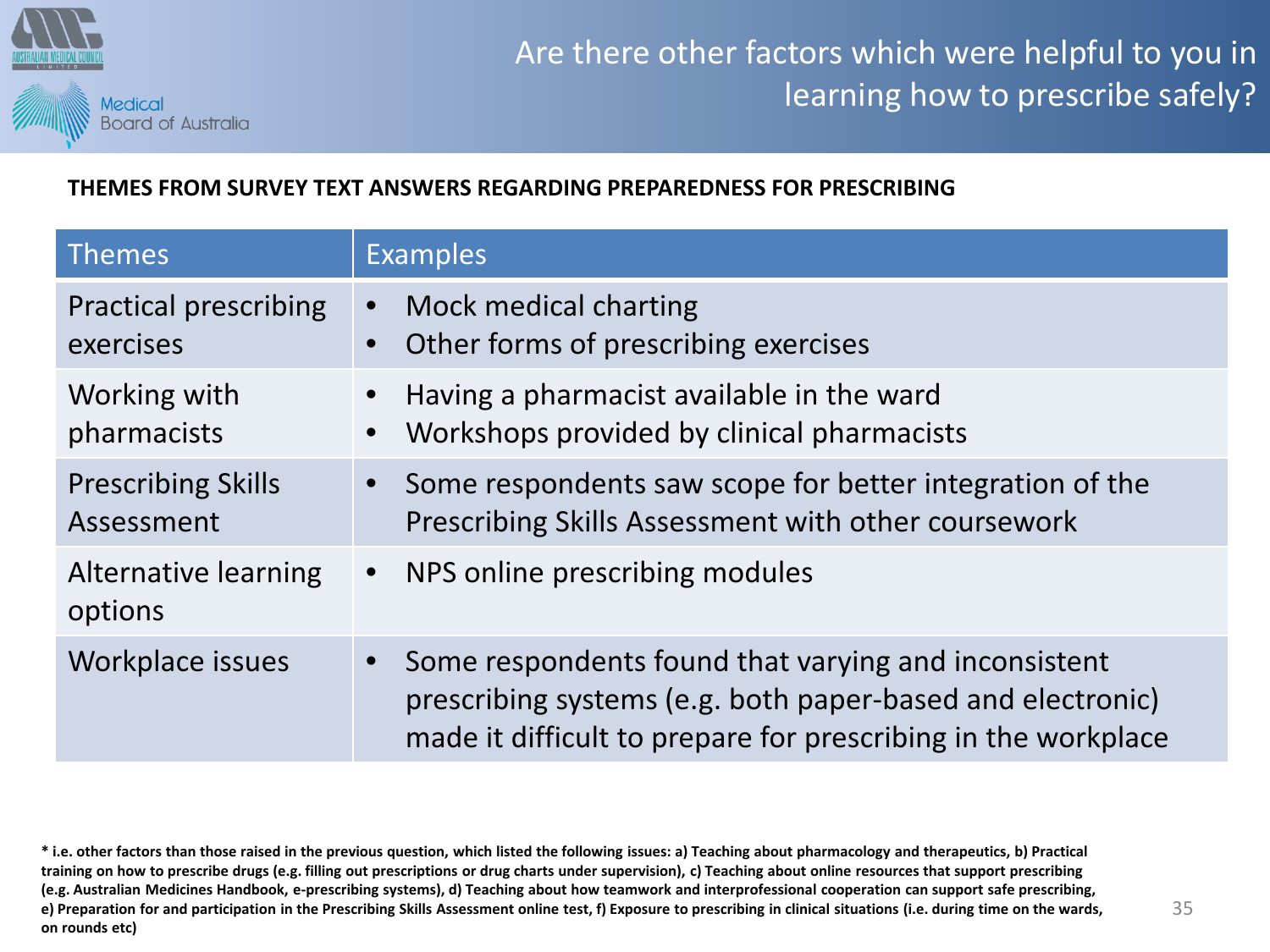![](_page_34_Picture_0.jpeg)

### **THEMES FROM SURVEY TEXT ANSWERS REGARDING PREPAREDNESS FOR PRESCRIBING**

| <b>Themes</b>                             | <b>Examples</b>                                                                                                                                                                                  |
|-------------------------------------------|--------------------------------------------------------------------------------------------------------------------------------------------------------------------------------------------------|
| <b>Practical prescribing</b><br>exercises | Mock medical charting<br>$\bullet$<br>Other forms of prescribing exercises                                                                                                                       |
| Working with<br>pharmacists               | Having a pharmacist available in the ward<br>Workshops provided by clinical pharmacists                                                                                                          |
| <b>Prescribing Skills</b><br>Assessment   | Some respondents saw scope for better integration of the<br>Prescribing Skills Assessment with other coursework                                                                                  |
| Alternative learning<br>options           | • NPS online prescribing modules                                                                                                                                                                 |
| Workplace issues                          | Some respondents found that varying and inconsistent<br>$\bullet$<br>prescribing systems (e.g. both paper-based and electronic)<br>made it difficult to prepare for prescribing in the workplace |

**<sup>\*</sup> i.e. other factors than those raised in the previous question, which listed the following issues: a) Teaching about pharmacology and therapeutics, b) Practical training on how to prescribe drugs (e.g. filling out prescriptions or drug charts under supervision), c) Teaching about online resources that support prescribing (e.g. Australian Medicines Handbook, e-prescribing systems), d) Teaching about how teamwork and interprofessional cooperation can support safe prescribing, e) Preparation for and participation in the Prescribing Skills Assessment online test, f) Exposure to prescribing in clinical situations (i.e. during time on the wards, on rounds etc)**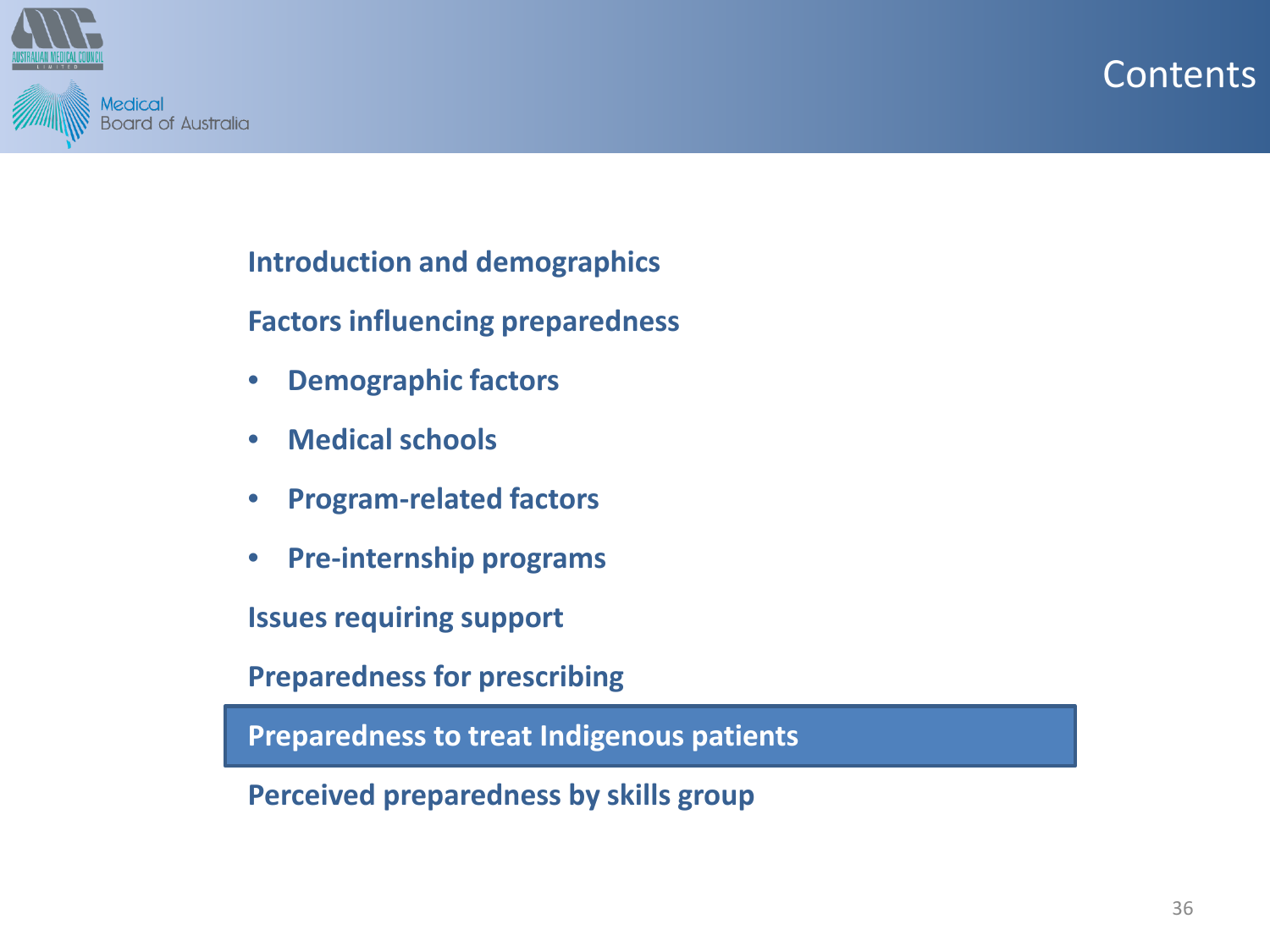![](_page_35_Picture_0.jpeg)

![](_page_35_Picture_1.jpeg)

**Introduction and demographics**

**Factors influencing preparedness**

- **Demographic factors**
- **Medical schools**
- **Program-related factors**
- **Pre-internship programs**

**Issues requiring support**

**Preparedness for prescribing**

**Preparedness to treat Indigenous patients**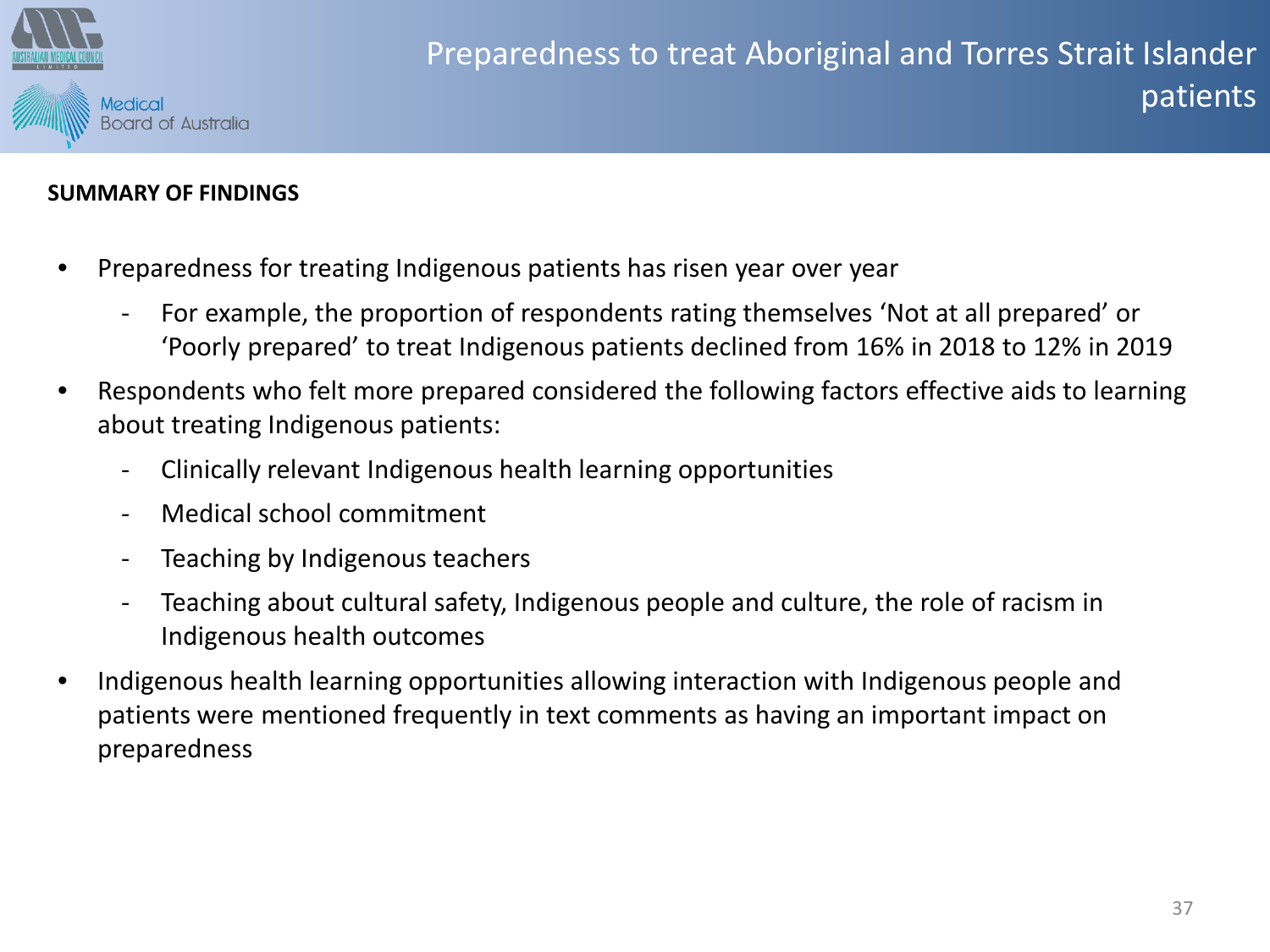![](_page_36_Picture_0.jpeg)

### **SUMMARY OF FINDINGS**

- Preparedness for treating Indigenous patients has risen year over year
	- For example, the proportion of respondents rating themselves 'Not at all prepared' or 'Poorly prepared' to treat Indigenous patients declined from 16% in 2018 to 12% in 2019
- Respondents who felt more prepared considered the following factors effective aids to learning about treating Indigenous patients:
	- Clinically relevant Indigenous health learning opportunities
	- Medical school commitment
	- Teaching by Indigenous teachers
	- Teaching about cultural safety, Indigenous people and culture, the role of racism in Indigenous health outcomes
- Indigenous health learning opportunities allowing interaction with Indigenous people and patients were mentioned frequently in text comments as having an important impact on preparedness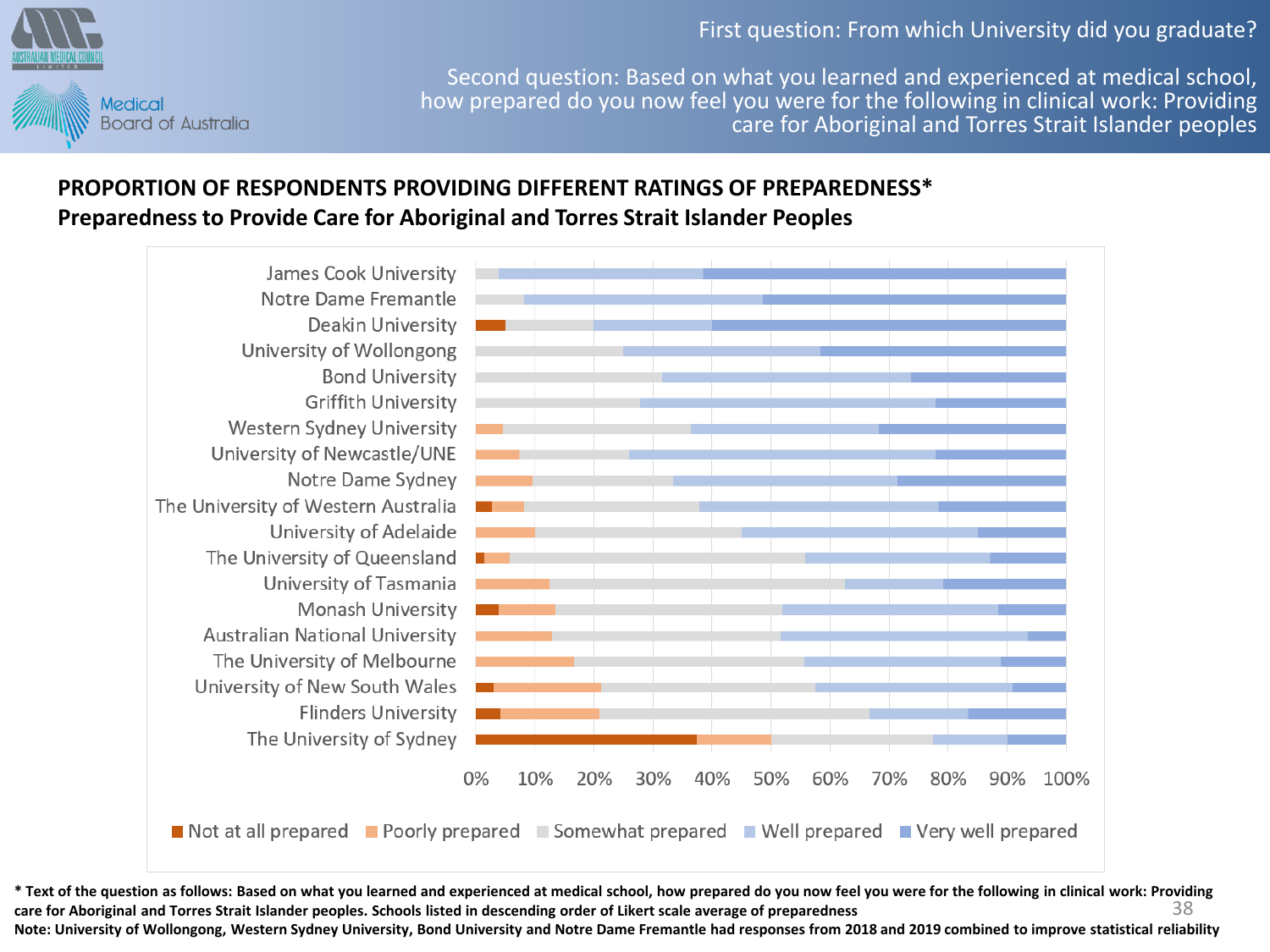First question: From which University did you graduate?

![](_page_37_Picture_1.jpeg)

Second question: Based on what you learned and experienced at medical school, how prepared do you now feel you were for the following in clinical work: Providing care for Aboriginal and Torres Strait Islander peoples

# **PROPORTION OF RESPONDENTS PROVIDING DIFFERENT RATINGS OF PREPAREDNESS\* Preparedness to Provide Care for Aboriginal and Torres Strait Islander Peoples**

![](_page_37_Figure_4.jpeg)

38 **\* Text of the question as follows: Based on what you learned and experienced at medical school, how prepared do you now feel you were for the following in clinical work: Providing care for Aboriginal and Torres Strait Islander peoples. Schools listed in descending order of Likert scale average of preparedness**

**Note: University of Wollongong, Western Sydney University, Bond University and Notre Dame Fremantle had responses from 2018 and 2019 combined to improve statistical reliability**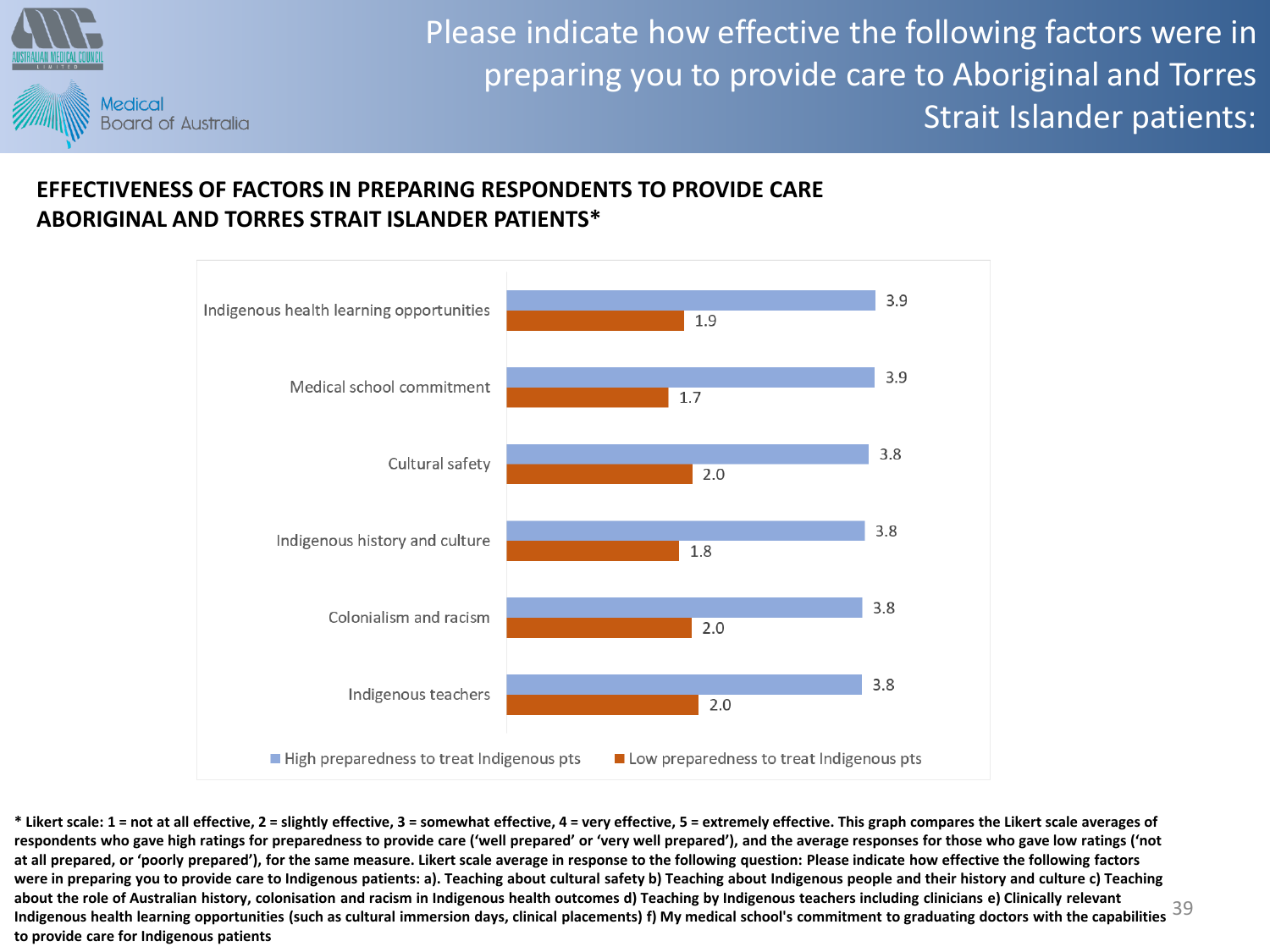![](_page_38_Picture_0.jpeg)

Please indicate how effective the following factors were in preparing you to provide care to Aboriginal and Torres Strait Islander patients:

## **EFFECTIVENESS OF FACTORS IN PREPARING RESPONDENTS TO PROVIDE CARE ABORIGINAL AND TORRES STRAIT ISLANDER PATIENTS\***

![](_page_38_Figure_3.jpeg)

about the role of Australian history, colonisation and racism in mulgenous health outcomes up reaching by mulgenous teachers including cinnically expendity relevant  $39$ <br>Indigenous health learning opportunities (such as cu **\* Likert scale: 1 = not at all effective, 2 = slightly effective, 3 = somewhat effective, 4 = very effective, 5 = extremely effective. This graph compares the Likert scale averages of**  respondents who gave high ratings for preparedness to provide care ('well prepared' or 'very well prepared'), and the average responses for those who gave low ratings ('not **at all prepared, or 'poorly prepared'), for the same measure. Likert scale average in response to the following question: Please indicate how effective the following factors**  were in preparing you to provide care to Indigenous patients: a). Teaching about cultural safety b) Teaching about Indigenous people and their history and culture c) Teaching about the role of Australian history, colonisation and racism in Indigenous health outcomes d) Teaching by Indigenous teachers including clinicians e) Clinically relevant **to provide care for Indigenous patients**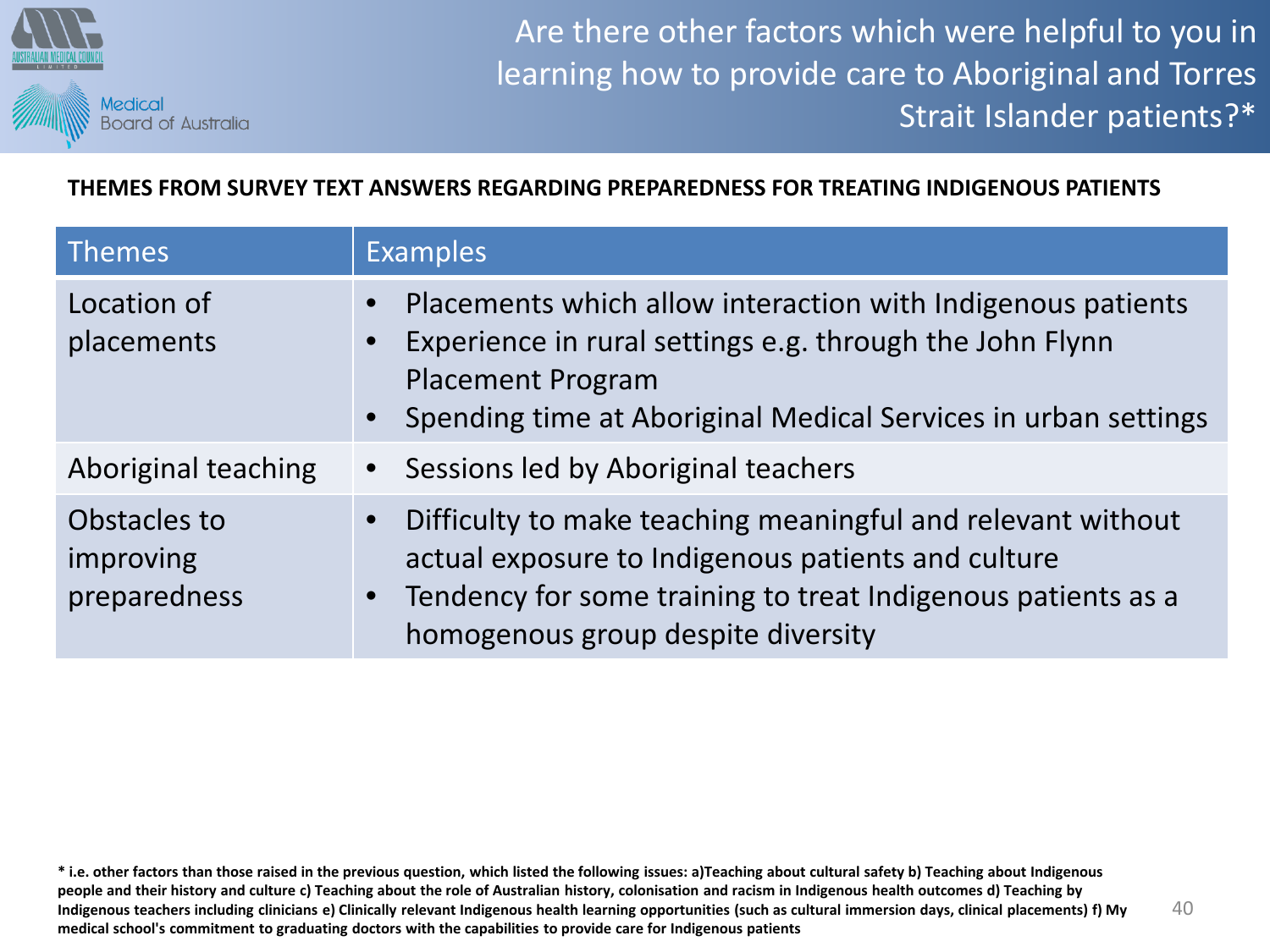![](_page_39_Picture_0.jpeg)

Are there other factors which were helpful to you in learning how to provide care to Aboriginal and Torres Strait Islander patients?\*

**THEMES FROM SURVEY TEXT ANSWERS REGARDING PREPAREDNESS FOR TREATING INDIGENOUS PATIENTS**

| <b>Themes</b>                             | <b>Examples</b>                                                                                                                                                                                                                      |
|-------------------------------------------|--------------------------------------------------------------------------------------------------------------------------------------------------------------------------------------------------------------------------------------|
| Location of<br>placements                 | Placements which allow interaction with Indigenous patients<br>Experience in rural settings e.g. through the John Flynn<br><b>Placement Program</b><br>Spending time at Aboriginal Medical Services in urban settings                |
| Aboriginal teaching                       | • Sessions led by Aboriginal teachers                                                                                                                                                                                                |
| Obstacles to<br>improving<br>preparedness | Difficulty to make teaching meaningful and relevant without<br>actual exposure to Indigenous patients and culture<br>Tendency for some training to treat Indigenous patients as a<br>$\bullet$<br>homogenous group despite diversity |

**\* i.e. other factors than those raised in the previous question, which listed the following issues: a)Teaching about cultural safety b) Teaching about Indigenous people and their history and culture c) Teaching about the role of Australian history, colonisation and racism in Indigenous health outcomes d) Teaching by Indigenous teachers including clinicians e) Clinically relevant Indigenous health learning opportunities (such as cultural immersion days, clinical placements) f) My medical school's commitment to graduating doctors with the capabilities to provide care for Indigenous patients**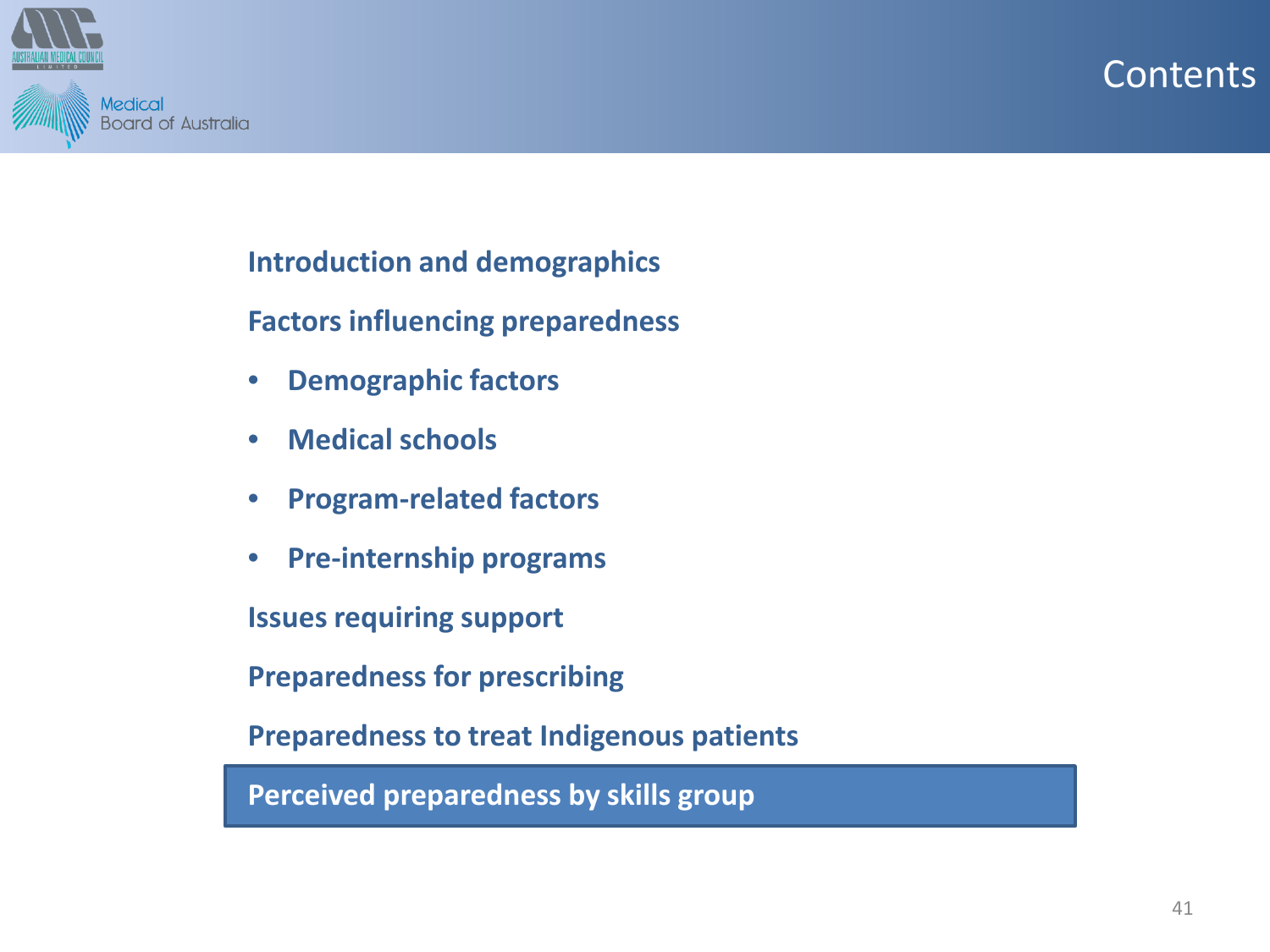# **Contents**

![](_page_40_Picture_1.jpeg)

**Introduction and demographics**

**Factors influencing preparedness**

- **Demographic factors**
- **Medical schools**
- **Program-related factors**
- **Pre-internship programs**

**Issues requiring support**

**Preparedness for prescribing**

**Preparedness to treat Indigenous patients**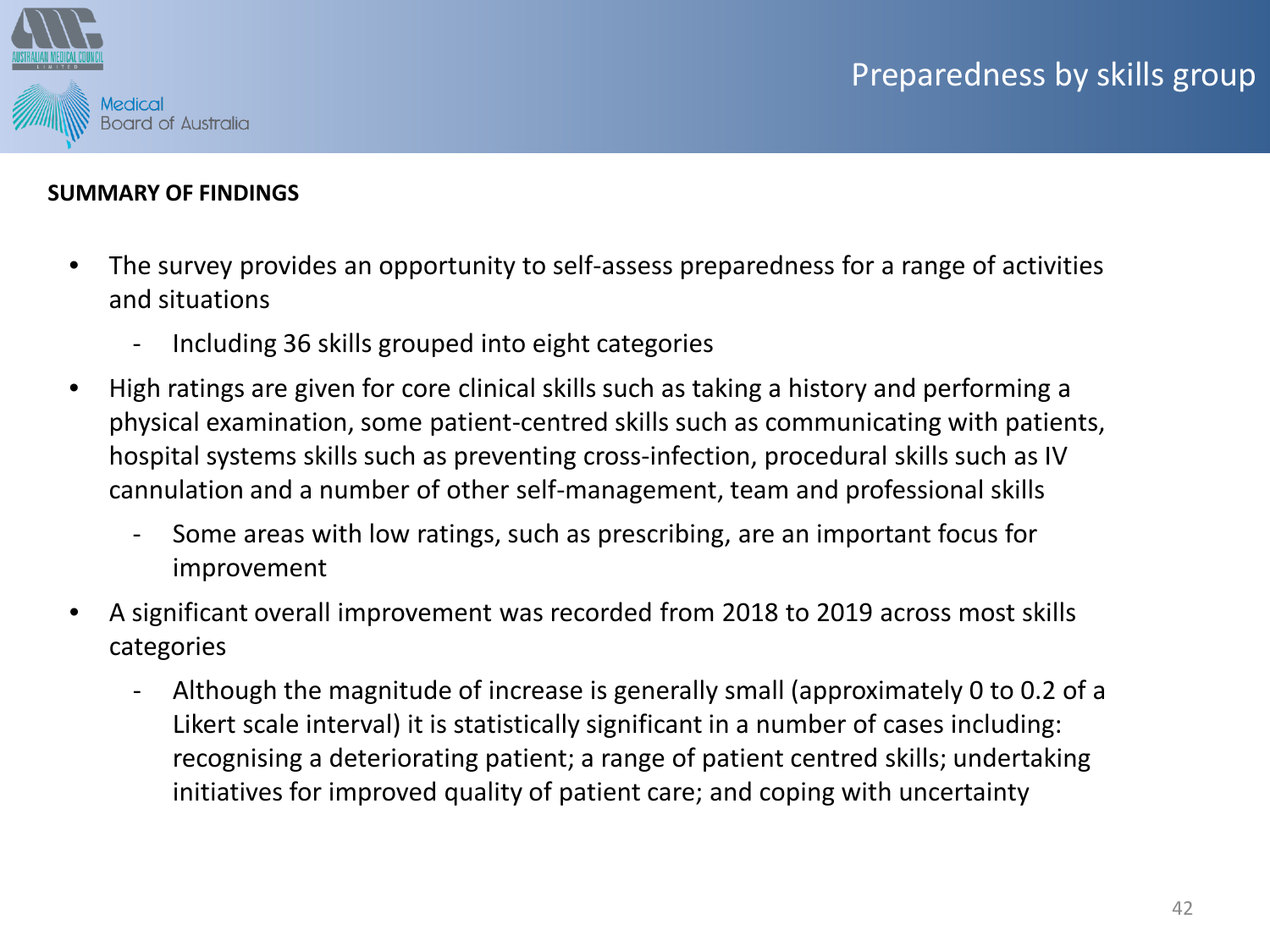![](_page_41_Picture_1.jpeg)

#### **SUMMARY OF FINDINGS**

- The survey provides an opportunity to self-assess preparedness for a range of activities and situations
	- Including 36 skills grouped into eight categories
- High ratings are given for core clinical skills such as taking a history and performing a physical examination, some patient-centred skills such as communicating with patients, hospital systems skills such as preventing cross-infection, procedural skills such as IV cannulation and a number of other self-management, team and professional skills
	- Some areas with low ratings, such as prescribing, are an important focus for improvement
- A significant overall improvement was recorded from 2018 to 2019 across most skills categories
	- Although the magnitude of increase is generally small (approximately 0 to 0.2 of a Likert scale interval) it is statistically significant in a number of cases including: recognising a deteriorating patient; a range of patient centred skills; undertaking initiatives for improved quality of patient care; and coping with uncertainty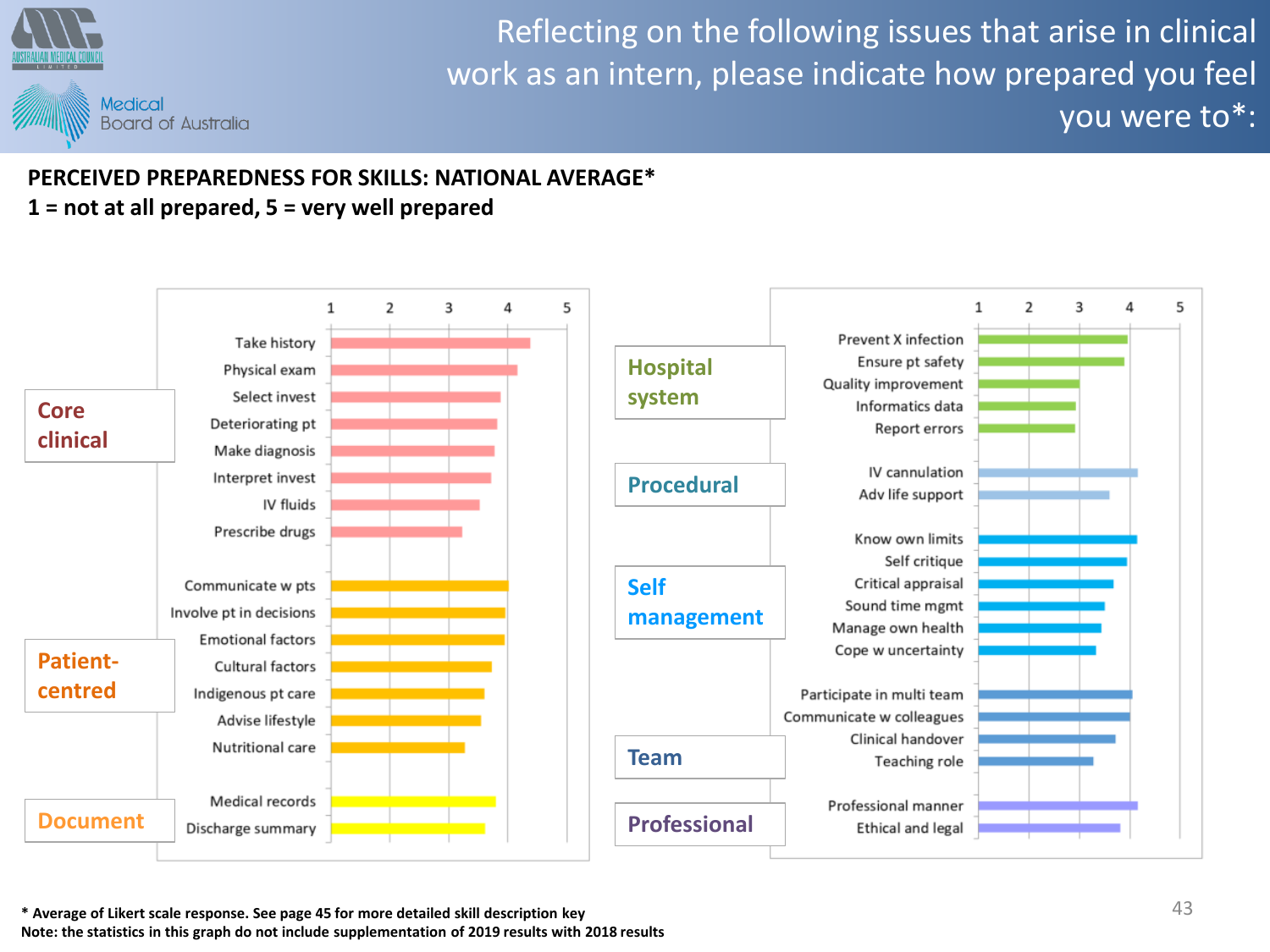![](_page_42_Picture_0.jpeg)

Reflecting on the following issues that arise in clinical work as an intern, please indicate how prepared you feel you were to\*:

### **PERCEIVED PREPAREDNESS FOR SKILLS: NATIONAL AVERAGE\* 1 = not at all prepared, 5 = very well prepared**

![](_page_42_Figure_3.jpeg)

**\* Average of Likert scale response. See page 45 for more detailed skill description key Note: the statistics in this graph do not include supplementation of 2019 results with 2018 results**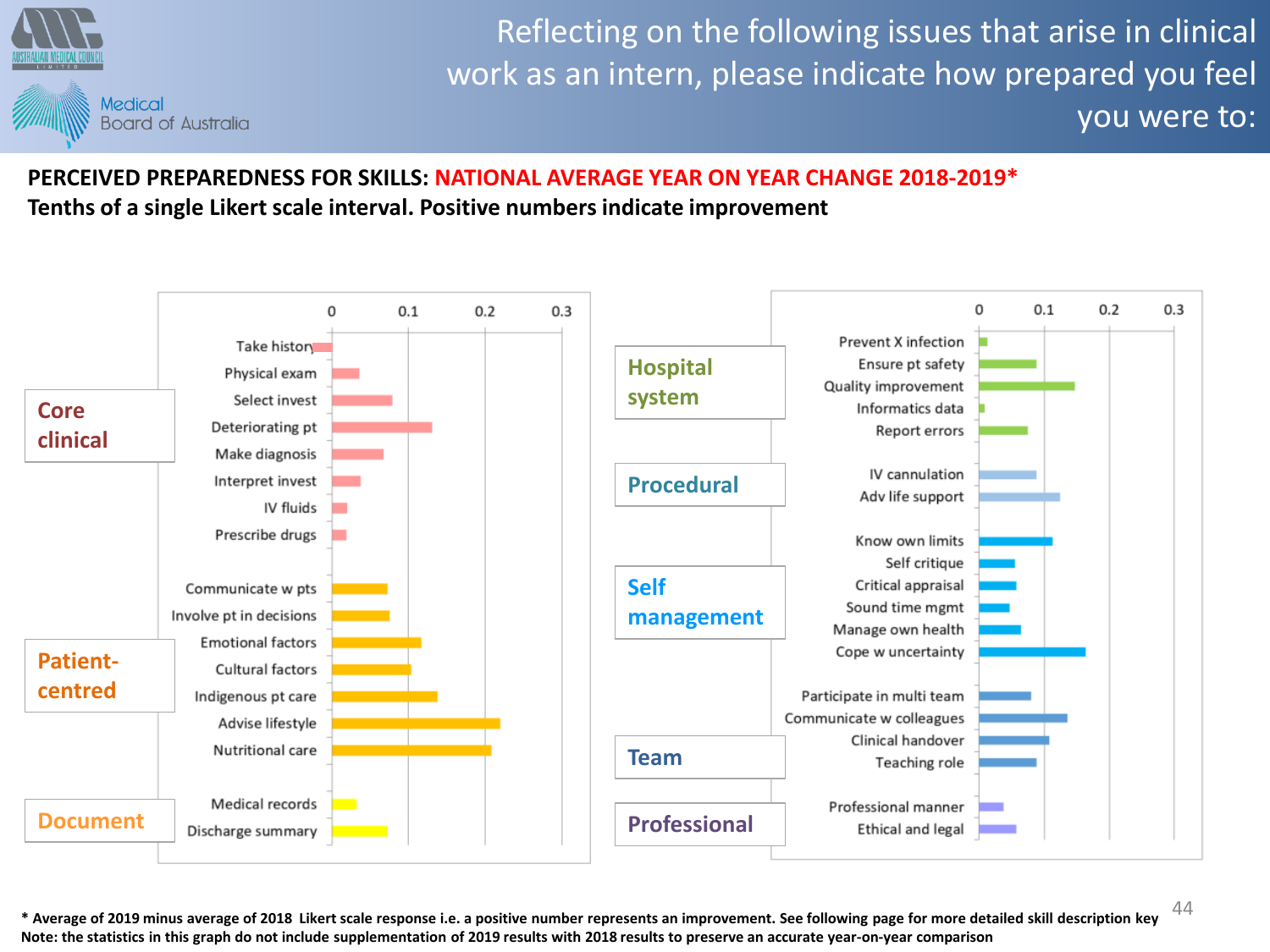![](_page_43_Picture_0.jpeg)

# Reflecting on the following issues that arise in clinical work as an intern, please indicate how prepared you feel you were to:

# **PERCEIVED PREPAREDNESS FOR SKILLS: NATIONAL AVERAGE YEAR ON YEAR CHANGE 2018-2019\* Tenths of a single Likert scale interval. Positive numbers indicate improvement**

![](_page_43_Figure_3.jpeg)

**\* Average of 2019 minus average of 2018 Likert scale response i.e. a positive number represents an improvement. See following page for more detailed skill description key Note: the statistics in this graph do not include supplementation of 2019 results with 2018 results to preserve an accurate year-on-year comparison**  44